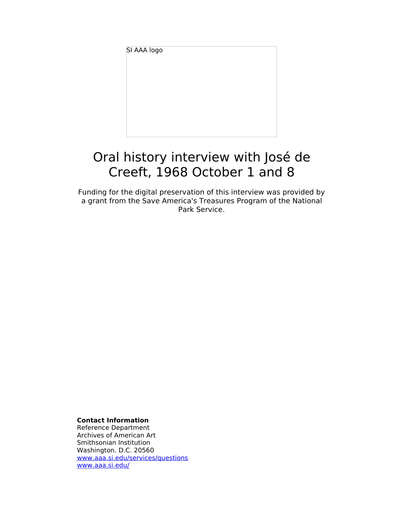SI AAA logo

# Oral history interview with José de Creeft, 1968 October 1 and 8

Funding for the digital preservation of this interview was provided by a grant from the Save America's Treasures Program of the National Park Service.

**Contact Information**

Reference Department Archives of American Art Smithsonian Institution Washington. D.C. 20560 [www.aaa.si.edu/services/questions](http://www.aaa.si.edu/services/questions) [www.aaa.si.edu/](http://www.aaa.si.edu/)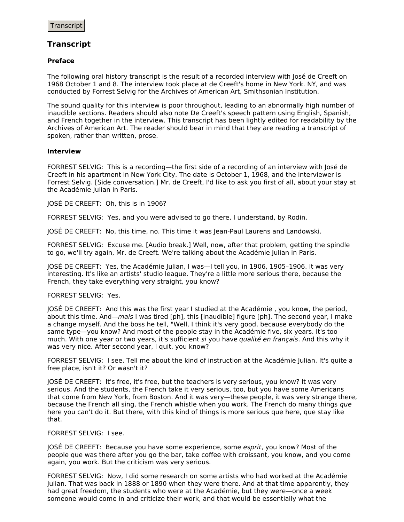# **Transcript**

## **Preface**

The following oral history transcript is the result of a recorded interview with José de Creeft on 1968 October 1 and 8. The interview took place at de Creeft's home in New York. NY, and was conducted by Forrest Selvig for the Archives of American Art, Smithsonian Institution.

The sound quality for this interview is poor throughout, leading to an abnormally high number of inaudible sections. Readers should also note De Creeft's speech pattern using English, Spanish, and French together in the interview. This transcript has been lightly edited for readability by the Archives of American Art. The reader should bear in mind that they are reading a transcript of spoken, rather than written, prose.

## **Interview**

FORREST SELVIG: This is a recording—the first side of a recording of an interview with José de Creeft in his apartment in New York City. The date is October 1, 1968, and the interviewer is Forrest Selvig. [Side conversation.] Mr. de Creeft, I'd like to ask you first of all, about your stay at the Académie Julian in Paris.

JOSÉ DE CREEFT: Oh, this is in 1906?

FORREST SELVIG: Yes, and you were advised to go there, I understand, by Rodin.

JOSÉ DE CREEFT: No, this time, no. This time it was Jean-Paul Laurens and Landowski.

FORREST SELVIG: Excuse me. [Audio break.] Well, now, after that problem, getting the spindle to go, we'll try again, Mr. de Creeft. We're talking about the Académie Julian in Paris.

JOSÉ DE CREEFT: Yes, the Académie Julian, I was—I tell you, in 1906, 1905–1906. It was very interesting. It's like an artists' studio league. They're a little more serious there, because the French, they take everything very straight, you know?

## FORREST SELVIG: Yes.

JOSÉ DE CREEFT: And this was the first year I studied at the Académie , you know, the period, about this time. And—mais I was tired [ph], this [inaudible] figure [ph]. The second year, I make a change myself. And the boss he tell, "Well, I think it's very good, because everybody do the same type—you know? And most of the people stay in the Académie five, six years. It's too much. With one year or two years, it's sufficient si you have qualité en français. And this why it was very nice. After second year, I quit, you know?

FORREST SELVIG: I see. Tell me about the kind of instruction at the Académie Julian. It's quite a free place, isn't it? Or wasn't it?

JOSÉ DE CREEFT: It's free, it's free, but the teachers is very serious, you know? It was very serious. And the students, the French take it very serious, too, but you have some Americans that come from New York, from Boston. And it was very—these people, it was very strange there, because the French all sing, the French whistle when you work. The French do many things que here you can't do it. But there, with this kind of things is more serious que here, que stay like that.

#### FORREST SELVIG: I see.

JOSÉ DE CREEFT: Because you have some experience, some esprit, you know? Most of the people que was there after you go the bar, take coffee with croissant, you know, and you come again, you work. But the criticism was very serious.

FORREST SELVIG: Now, I did some research on some artists who had worked at the Académie Julian. That was back in 1888 or 1890 when they were there. And at that time apparently, they had great freedom, the students who were at the Académie, but they were—once a week someone would come in and criticize their work, and that would be essentially what the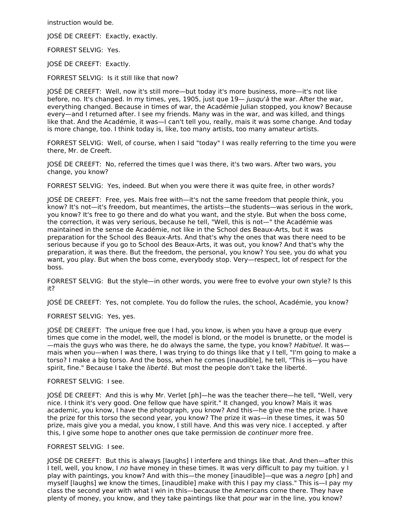instruction would be.

JOSÉ DE CREEFT: Exactly, exactly.

FORREST SELVIG: Yes.

JOSÉ DE CREEFT: Exactly.

FORREST SELVIG: Is it still like that now?

JOSÉ DE CREEFT: Well, now it's still more—but today it's more business, more—it's not like before, no. It's changed. In my times, yes, 1905, just que 19— *jusqu'à* the war. After the war, everything changed. Because in times of war, the Académie Julian stopped, you know? Because every—and I returned after. I see my friends. Many was in the war, and was killed, and things like that. And the Académie, it was—I can't tell you, really, mais it was some change. And today is more change, too. I think today is, like, too many artists, too many amateur artists.

FORREST SELVIG: Well, of course, when I said "today" I was really referring to the time you were there, Mr. de Creeft.

JOSÉ DE CREEFT: No, referred the times que I was there, it's two wars. After two wars, you change, you know?

FORREST SELVIG: Yes, indeed. But when you were there it was quite free, in other words?

JOSÉ DE CREEFT: Free, yes. Mais free with—it's not the same freedom that people think, you know? It's not—it's freedom, but meantimes, the artists—the students—was serious in the work, you know? It's free to go there and do what you want, and the style. But when the boss come, the correction, it was very serious, because he tell, "Well, this is not—" the Académie was maintained in the sense de Académie, not like in the School des Beaux-Arts, but it was preparation for the School des Beaux-Arts. And that's why the ones that was there need to be serious because if you go to School des Beaux-Arts, it was out, you know? And that's why the preparation, it was there. But the freedom, the personal, you know? You see, you do what you want, you play. But when the boss come, everybody stop. Very—respect, lot of respect for the boss.

FORREST SELVIG: But the style—in other words, you were free to evolve your own style? Is this it?

JOSÉ DE CREEFT: Yes, not complete. You do follow the rules, the school, Académie, you know?

FORREST SELVIG: Yes, yes.

JOSÉ DE CREEFT: The *unique free que I had, you know, is when you have a group que every* times que come in the model, well, the model is blond, or the model is brunette, or the model is —mais the guys who was there, he do always the same, the type, you know? Habituel. It was mais when you—when I was there, I was trying to do things like that y I tell, "I'm going to make a torso? I make a big torso. And the boss, when he comes [inaudible], he tell, "This is—you have spirit, fine." Because I take the liberté. But most the people don't take the liberté.

#### FORREST SELVIG: I see.

JOSÉ DE CREEFT: And this is why Mr. Verlet [ph]—he was the teacher there—he tell, "Well, very nice. I think it's very good. One fellow que have spirit." It changed, you know? Mais it was academic, you know, I have the photograph, you know? And this—he give me the prize. I have the prize for this torso the second year, you know? The prize it was—in these times, it was 50 prize, mais give you a medal, you know, I still have. And this was very nice. I accepted. y after this, I give some hope to another ones que take permission de continuer more free.

#### FORREST SELVIG: I see.

JOSÉ DE CREEFT: But this is always [laughs] I interfere and things like that. And then—after this I tell, well, you know, I no have money in these times. It was very difficult to pay my tuition. y I play with paintings, you know? And with this—the money [inaudible]—que was a negro [ph] and myself [laughs] we know the times, [inaudible] make with this I pay my class." This is—I pay my class the second year with what I win in this—because the Americans come there. They have plenty of money, you know, and they take paintings like that pour war in the line, you know?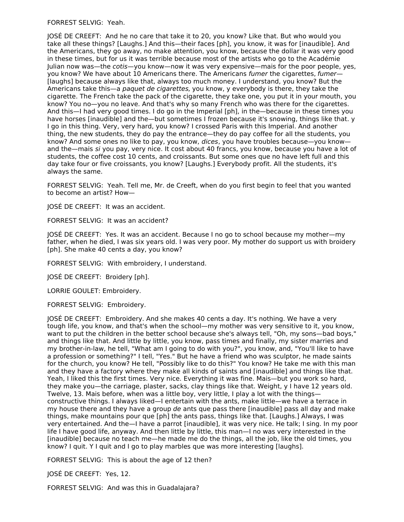FORREST SELVIG: Yeah.

JOSÉ DE CREEFT: And he no care that take it to 20, you know? Like that. But who would you take all these things? [Laughs.] And this—their faces [ph], you know, it was for [inaudible]. And the Americans, they go away, no make attention, you know, because the dollar it was very good in these times, but for us it was terrible because most of the artists who go to the Académie Julian now was—the cotis—you know—now it was very expensive—mais for the poor people, yes, you know? We have about 10 Americans there. The Americans fumer the cigarettes, fumer-[laughs] because always like that, always too much money. I understand, you know? But the Americans take this—a *paquet de cigarettes*, you know, y everybody is there, they take the cigarette. The French take the pack of the cigarette, they take one, you put it in your mouth, you know? You no—you no leave. And that's why so many French who was there for the cigarettes. And this—I had very good times. I do go in the Imperial [ph], in the—because in these times you have horses [inaudible] and the—but sometimes I frozen because it's snowing, things like that. y I go in this thing. Very, very hard, you know? I crossed Paris with this Imperial. And another thing, the new students, they do pay the entrance—they do pay coffee for all the students, you know? And some ones no like to pay, you know, dices, you have troubles because-you knowand the—mais si you pay, very nice. It cost about 40 francs, you know, because you have a lot of students, the coffee cost 10 cents, and croissants. But some ones que no have left full and this day take four or five croissants, you know? [Laughs.] Everybody profit. All the students, it's always the same.

FORREST SELVIG: Yeah. Tell me, Mr. de Creeft, when do you first begin to feel that you wanted to become an artist? How—

JOSÉ DE CREEFT: It was an accident.

FORREST SELVIG: It was an accident?

JOSÉ DE CREEFT: Yes. It was an accident. Because I no go to school because my mother—my father, when he died, I was six years old. I was very poor. My mother do support us with broidery [ph]. She make 40 cents a day, you know?

FORREST SELVIG: With embroidery, I understand.

JOSÉ DE CREEFT: Broidery [ph].

LORRIE GOULET: Embroidery.

FORREST SELVIG: Embroidery.

JOSÉ DE CREEFT: Embroidery. And she makes 40 cents a day. It's nothing. We have a very tough life, you know, and that's when the school—my mother was very sensitive to it, you know, want to put the children in the better school because she's always tell, "Oh, my sons—bad boys," and things like that. And little by little, you know, pass times and finally, my sister marries and my brother-in-law, he tell, "What am I going to do with you?", you know, and, "You'll like to have a profession or something?" I tell, "Yes." But he have a friend who was sculptor, he made saints for the church, you know? He tell, "Possibly like to do this?" You know? He take me with this man and they have a factory where they make all kinds of saints and [inaudible] and things like that. Yeah, I liked this the first times. Very nice. Everything it was fine. Mais—but you work so hard, they make you—the carriage, plaster, sacks, clay things like that. Weight, y I have 12 years old. Twelve, 13. Mais before, when was a little boy, very little, I play a lot with the things constructive things. I always liked—I entertain with the ants, make little—we have a terrace in my house there and they have a group de ants que pass there [inaudible] pass all day and make things, make mountains pour que [ph] the ants pass, things like that. [Laughs.] Always, I was very entertained. And the—I have a parrot [inaudible], it was very nice. He talk; I sing. In my poor life I have good life, anyway. And then little by little, this man—I no was very interested in the [inaudible] because no teach me—he made me do the things, all the job, like the old times, you know? I quit. Y I quit and I go to play marbles que was more interesting [laughs].

FORREST SELVIG: This is about the age of 12 then?

JOSÉ DE CREEFT: Yes, 12.

FORREST SELVIG: And was this in Guadalajara?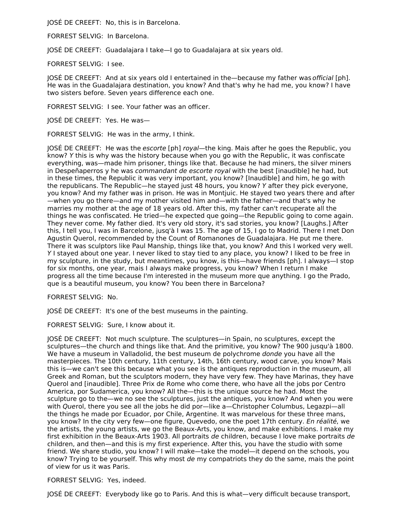JOSÉ DE CREEFT: No, this is in Barcelona.

FORREST SELVIG: In Barcelona.

JOSÉ DE CREEFT: Guadalajara I take—I go to Guadalajara at six years old.

FORREST SELVIG: I see.

JOSÉ DE CREEFT: And at six years old I entertained in the—because my father was *official* [ph]. He was in the Guadalajara destination, you know? And that's why he had me, you know? I have two sisters before. Seven years difference each one.

FORREST SELVIG: I see. Your father was an officer.

JOSÉ DE CREEFT: Yes. He was—

FORREST SELVIG: He was in the army, I think.

JOSÉ DE CREEFT: He was the *escorte* [ph] *royal*—the king. Mais after he goes the Republic, you know? Y this is why was the history because when you go with the Republic, it was confiscate everything, was—made him prisoner, things like that. Because he had miners, the silver miners in Despeñaperros y he was commandant de escorte royal with the best [inaudible] he had, but in these times, the Republic it was very important, you know? [Inaudible] and him, he go with the republicans. The Republic—he stayed just 48 hours, you know? Y after they pick everyone, you know? And my father was in prison. He was in Montjuic. He stayed two years there and after —when you go there—and my mother visited him and—with the father—and that's why he marries my mother at the age of 18 years old. After this, my father can't recuperate all the things he was confiscated. He tried—he expected que going—the Republic going to come again. They never come. My father died. It's very old story, it's sad stories, you know? [Laughs.] After this, I tell you, I was in Barcelone, jusq'à I was 15. The age of 15, I go to Madrid. There I met Don Agustin Querol, recommended by the Count of Romanones de Guadalajara. He put me there. There it was sculptors like Paul Manship, things like that, you know? And this I worked very well. Y I stayed about one year. I never liked to stay tied to any place, you know? I liked to be free in my sculpture, in the study, but meantimes, you know, is this—have friends [ph]. I always—I stop for six months, one year, mais I always make progress, you know? When I return I make progress all the time because I'm interested in the museum more que anything. I go the Prado, que is a beautiful museum, you know? You been there in Barcelona?

## FORREST SELVIG: No.

JOSÉ DE CREEFT: It's one of the best museums in the painting.

FORREST SELVIG: Sure, I know about it.

JOSÉ DE CREEFT: Not much sculpture. The sculptures—in Spain, no sculptures, except the sculptures—the church and things like that. And the primitive, you know? The 900 jusqu'à 1800. We have a museum in Valladolid, the best museum de polychrome *donde* you have all the masterpieces. The 10th century, 11th century, 14th, 16th century, wood carve, you know? Mais this is—we can't see this because what you see is the antiques reproduction in the museum, all Greek and Roman, but the sculptors modern, they have very few. They have Marinas, they have Querol and [inaudible]. Three Prix de Rome who come there, who have all the jobs por Centro America, por Sudamerica, you know? All the—this is the unique source he had. Most the sculpture go to the—we no see the sculptures, just the antiques, you know? And when you were with Querol, there you see all the jobs he did por—like a—Christopher Columbus, Legazpi—all the things he made por Ecuador, por Chile, Argentine. It was marvelous for these three mans, you know? In the city very few—one figure, Quevedo, one the poet 17th century. En réalité, we the artists, the young artists, we go the Beaux-Arts, you know, and make exhibitions. I make my first exhibition in the Beaux-Arts 1903. All portraits de children, because I love make portraits de children, and then—and this is my first experience. After this, you have the studio with some friend. We share studio, you know? I will make—take the model—it depend on the schools, you know? Trying to be yourself. This why most de my compatriots they do the same, mais the point of view for us it was Paris.

FORREST SELVIG: Yes, indeed.

JOSÉ DE CREEFT: Everybody like go to Paris. And this is what—very difficult because transport,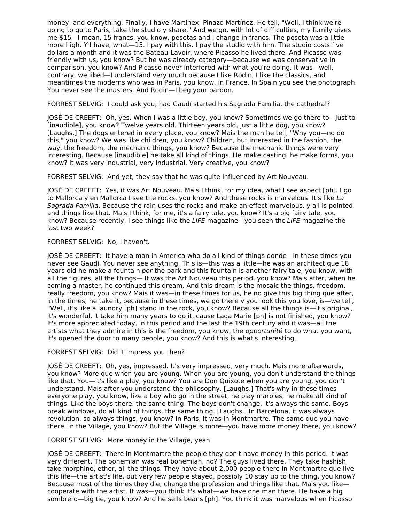money, and everything. Finally, I have Martínex, Pinazo Martínez. He tell, "Well, I think we're going to go to Paris, take the studio y share." And we go, with lot of difficulties, my family gives me \$15—I mean, 15 francs, you know, pesetas and I change in francs. The peseta was a little more high. Y I have, what—15. I pay with this. I pay the studio with him. The studio costs five dollars a month and it was the Bateau-Lavoir, where Picasso he lived there. And Picasso was friendly with us, you know? But he was already category—because we was conservative in comparison, you know? And Picasso never interfered with what you're doing. It was—well, contrary, we liked—I understand very much because I like Rodin, I like the classics, and meantimes the moderns who was in Paris, you know, in France. In Spain you see the photograph. You never see the masters. And Rodin—I beg your pardon.

FORREST SELVIG: I could ask you, had Gaudí started his Sagrada Familia, the cathedral?

JOSÉ DE CREEFT: Oh, yes. When I was a little boy, you know? Sometimes we go there to—just to [inaudible], you know? Twelve years old. Thirteen years old, just a little dog, you know? [Laughs.] The dogs entered in every place, you know? Mais the man he tell, "Why you—no do this," you know? We was like children, you know? Children, but interested in the fashion, the way, the freedom, the mechanic things, you know? Because the mechanic things were very interesting. Because [inaudible] he take all kind of things. He make casting, he make forms, you know? It was very industrial, very industrial. Very creative, you know?

FORREST SELVIG: And yet, they say that he was quite influenced by Art Nouveau.

JOSÉ DE CREEFT: Yes, it was Art Nouveau. Mais I think, for my idea, what I see aspect [ph]. I go to Mallorca y en Mallorca I see the rocks, you know? And these rocks is marvelous. It's like La Sagrada Familia. Because the rain uses the rocks and make an effect marvelous, y all is pointed and things like that. Mais I think, for me, it's a fairy tale, you know? It's a big fairy tale, you know? Because recently, I see things like the LIFE magazine—you seen the LIFE magazine the last two week?

## FORREST SELVIG: No, I haven't.

JOSÉ DE CREEFT: It have a man in America who do all kind of things donde—in these times you never see Gaudí. You never see anything. This is—this was a little—he was an architect que 18 years old he make a fountain por the park and this fountain is another fairy tale, you know, with all the figures, all the things— It was the Art Nouveau this period, you know? Mais after, when he coming a master, he continued this dream. And this dream is the mosaic the things, freedom, really freedom, you know? Mais it was—in these times for us, he no give this big thing que after, in the times, he take it, because in these times, we go there y you look this you love, is—we tell, "Well, it's like a laundry [ph] stand in the rock, you know? Because all the things is—it's original, it's wonderful, it take him many years to do it, cause Lada Marie [ph] is not finished, you know? It's more appreciated today, in this period and the last the 19th century and it was—all the artists what they admire in this is the freedom, you know, the opportunité to do what you want, it's opened the door to many people, you know? And this is what's interesting.

# FORREST SELVIG: Did it impress you then?

JOSÉ DE CREEFT: Oh, yes, impressed. It's very impressed, very much. Mais more afterwards, you know? More que when you are young. When you are young, you don't understand the things like that. You—it's like a play, you know? You are Don Quixote when you are young, you don't understand. Mais after you understand the philosophy. [Laughs.] That's why in these times everyone play, you know, like a boy who go in the street, he play marbles, he make all kind of things. Like the boys there, the same thing. The boys don't change, it's always the same. Boys break windows, do all kind of things, the same thing. [Laughs.] In Barcelona, it was always revolution, so always things, you know? In Paris, it was in Montmartre. The same que you have there, in the Village, you know? But the Village is more—you have more money there, you know?

FORREST SELVIG: More money in the Village, yeah.

JOSÉ DE CREEFT: There in Montmartre the people they don't have money in this period. It was very different. The bohemian was real bohemian, no? The guys lived there. They take hashish, take morphine, ether, all the things. They have about 2,000 people there in Montmartre que live this life—the artist's life, but very few people stayed, possibly 10 stay up to the thing, you know? Because most of the times they die, change the profession and things like that. Mais you like cooperate with the artist. It was—you think it's what—we have one man there. He have a big sombrero—big tie, you know? And he sells beans [ph]. You think it was marvelous when Picasso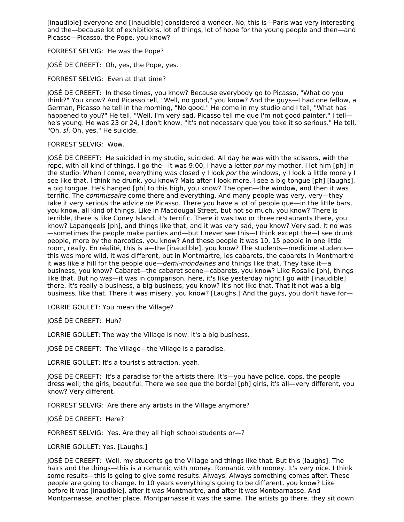[inaudible] everyone and [inaudible] considered a wonder. No, this is—Paris was very interesting and the—because lot of exhibitions, lot of things, lot of hope for the young people and then—and Picasso—Picasso, the Pope, you know?

FORREST SELVIG: He was the Pope?

JOSÉ DE CREEFT: Oh, yes, the Pope, yes.

FORREST SELVIG: Even at that time?

JOSÉ DE CREEFT: In these times, you know? Because everybody go to Picasso, "What do you think?" You know? And Picasso tell, "Well, no good," you know? And the guys—I had one fellow, a German, Picasso he tell in the morning, "No good." He come in my studio and I tell, "What has happened to you?" He tell, "Well, I'm very sad. Picasso tell me que I'm not good painter." I tellhe's young. He was 23 or 24, I don't know. "It's not necessary que you take it so serious." He tell, "Oh, sí. Oh, yes." He suicide.

#### FORREST SELVIG: Wow.

JOSÉ DE CREEFT: He suicided in my studio, suicided. All day he was with the scissors, with the rope, with all kind of things. I go the—it was 9:00, I have a letter por my mother, I let him [ph] in the studio. When I come, everything was closed y I look por the windows, y I look a little more y I see like that. I think he drunk, you know? Mais after I look more, I see a big tongue [ph] [laughs], a big tongue. He's hanged [ph] to this high, you know? The open—the window, and then it was terrific. The *commissaire* come there and everything. And many people was very, very—they take it very serious the advice de Picasso. There you have a lot of people que—in the little bars, you know, all kind of things. Like in Macdougal Street, but not so much, you know? There is terrible, there is like Coney Island, it's terrific. There it was two or three restaurants there, you know? Lapangeels [ph], and things like that, and it was very sad, you know? Very sad. It no was —sometimes the people make parties and—but I never see this—I think except the—I see drunk people, more by the narcotics, you know? And these people it was 10, 15 people in one little room, really. En réalité, this is a—the [inaudible], you know? The students—medicine students this was more wild, it was different, but in Montmartre, les cabarets, the cabarets in Montmartre it was like a hill for the people que—demi-mondaines and things like that. They take it—a business, you know? Cabaret—the cabaret scene—cabarets, you know? Like Rosalie [ph], things like that. But no was—it was in comparison, here, it's like yesterday night I go with [inaudible] there. It's really a business, a big business, you know? It's not like that. That it not was a big business, like that. There it was misery, you know? [Laughs.] And the guys, you don't have for—

LORRIE GOULET: You mean the Village?

JOSÉ DE CREEFT: Huh?

LORRIE GOULET: The way the Village is now. It's a big business.

JOSÉ DE CREEFT: The Village—the Village is a paradise.

LORRIE GOULET: It's a tourist's attraction, yeah.

JOSÉ DE CREEFT: It's a paradise for the artists there. It's—you have police, cops, the people dress well; the girls, beautiful. There we see que the bordel [ph] girls, it's all—very different, you know? Very different.

FORREST SELVIG: Are there any artists in the Village anymore?

JOSÉ DE CREEFT: Here?

FORREST SELVIG: Yes. Are they all high school students or—?

LORRIE GOULET: Yes. [Laughs.]

JOSÉ DE CREEFT: Well, my students go the Village and things like that. But this [laughs]. The hairs and the things—this is a romantic with money. Romantic with money. It's very nice. I think some results—this is going to give some results. Always. Always something comes after. These people are going to change. In 10 years everything's going to be different, you know? Like before it was [inaudible], after it was Montmartre, and after it was Montparnasse. And Montparnasse, another place. Montparnasse it was the same. The artists go there, they sit down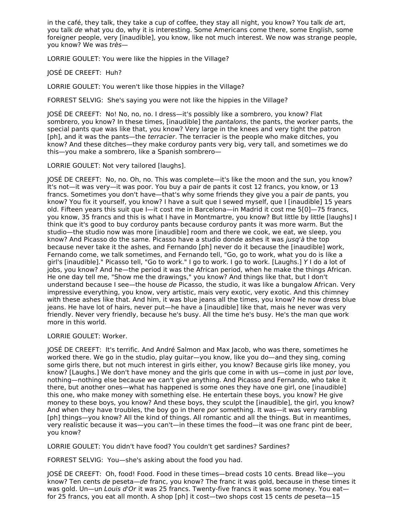in the café, they talk, they take a cup of coffee, they stay all night, you know? You talk de art, you talk de what you do, why it is interesting. Some Americans come there, some English, some foreigner people, very [inaudible], you know, like not much interest. We now was strange people, you know? We was très—

LORRIE GOULET: You were like the hippies in the Village?

JOSÉ DE CREEFT: Huh?

LORRIE GOULET: You weren't like those hippies in the Village?

FORREST SELVIG: She's saying you were not like the hippies in the Village?

JOSÉ DE CREEFT: No! No, no, no. I dress—it's possibly like a sombrero, you know? Flat sombrero, you know? In these times, [inaudible] the *pantalons*, the pants, the worker pants, the special pants que was like that, you know? Very large in the knees and very tight the patron [ph], and it was the pants—the terracier. The terracier is the people who make ditches, you know? And these ditches—they make corduroy pants very big, very tall, and sometimes we do this—you make a sombrero, like a Spanish sombrero—

LORRIE GOULET: Not very tailored [laughs].

JOSÉ DE CREEFT: No, no. Oh, no. This was complete—it's like the moon and the sun, you know? It's not—it was very—it was poor. You buy a pair de pants it cost 12 francs, you know, or 13 francs. Sometimes you don't have—that's why some friends they give you a pair de pants, you know? You fix it yourself, you know? I have a suit que I sewed myself, que I [inaudible] 15 years old. Fifteen years this suit que I—it cost me in Barcelona—in Madrid it cost me 5[0]—75 francs, you know, 35 francs and this is what I have in Montmartre, you know? But little by little [laughs] I think que it's good to buy corduroy pants because corduroy pants it was more warm. But the studio—the studio now was more [inaudible] room and there we cook, we eat, we sleep, you know? And Picasso do the same. Picasso have a studio donde ashes it was jusq'à the top because never take it the ashes, and Fernando [ph] never do it because the [inaudible] work, Fernando come, we talk sometimes, and Fernando tell, "Go, go to work, what you do is like a girl's [inaudible]." Picasso tell, "Go to work." I go to work. I go to work. [Laughs.] Y I do a lot of jobs, you know? And he—the period it was the African period, when he make the things African. He one day tell me, "Show me the drawings," you know? And things like that, but I don't understand because I see—the house de Picasso, the studio, it was like a bungalow African. Very impressive everything, you know, very artistic, mais very exotic, very exotic. And this chimney with these ashes like that. And him, it was blue jeans all the times, you know? He now dress blue jeans. He have lot of hairs, never put—he have a [inaudible] like that, mais he never was very friendly. Never very friendly, because he's busy. All the time he's busy. He's the man que work more in this world.

LORRIE GOULET: Worker.

JOSÉ DE CREEFT: It's terrific. And André Salmon and Max Jacob, who was there, sometimes he worked there. We go in the studio, play guitar—you know, like you do—and they sing, coming some girls there, but not much interest in girls either, you know? Because girls like money, you know? [Laughs.] We don't have money and the girls que come in with us—come in just por love, nothing—nothing else because we can't give anything. And Picasso and Fernando, who take it there, but another ones—what has happened is some ones they have one girl, one [inaudible] this one, who make money with something else. He entertain these boys, you know? He give money to these boys, you know? And these boys, they sculpt the [inaudible], the girl, you know? And when they have troubles, the boy go in there por something. It was—it was very rambling [ph] things—you know? All the kind of things. All romantic and all the things. But in meantimes, very realistic because it was—you can't—in these times the food—it was one franc pint de beer, you know?

LORRIE GOULET: You didn't have food? You couldn't get sardines? Sardines?

FORREST SELVIG: You—she's asking about the food you had.

JOSÉ DE CREEFT: Oh, food! Food. Food in these times—bread costs 10 cents. Bread like—you know? Ten cents de peseta—de franc, you know? The franc it was gold, because in these times it was gold. Un—un Louis d'Or it was 25 francs. Twenty-five francs it was some money. You eatfor 25 francs, you eat all month. A shop [ph] it cost—two shops cost 15 cents de peseta—15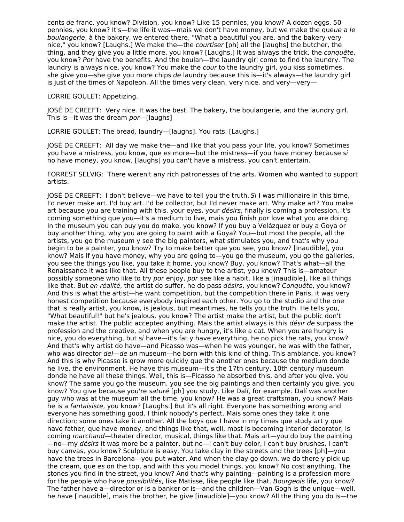cents de franc, you know? Division, you know? Like 15 pennies, you know? A dozen eggs, 50 pennies, you know? It's—the life it was—mais we don't have money, but we make the queue a le boulangerie, à the bakery, we entered there, "What a beautiful you are, and the bakery very nice," you know? [Laughs.] We make the—the *courtiser* [ph] all the [laughs] the butcher, the thing, and they give you a little more, you know? [Laughs.] It was always the trick, the conquête, you know? Por have the benefits. And the boulan—the laundry girl come to find the laundry. The laundry is always nice, you know? You make the *cour* to the laundry girl, you kiss sometimes, she give you—she give you more chips de laundry because this is—it's always—the laundry girl is just of the times of Napoleon. All the times very clean, very nice, and very—very—

LORRIE GOULET: Appetizing.

JOSÉ DE CREEFT: Very nice. It was the best. The bakery, the boulangerie, and the laundry girl. This is—it was the dream *por*—[laughs]

LORRIE GOULET: The bread, laundry—[laughs]. You rats. [Laughs.]

JOSÉ DE CREEFT: All day we make the—and like that you pass your life, you know? Sometimes you have a mistress, you know, que es more—but the mistress—if you have money because si no have money, you know, [laughs] you can't have a mistress, you can't entertain.

FORREST SELVIG: There weren't any rich patronesses of the arts. Women who wanted to support artists.

JOSÉ DE CREEFT: I don't believe—we have to tell you the truth.  $Si$  I was millionaire in this time, I'd never make art. I'd buy art. I'd be collector, but I'd never make art. Why make art? You make art because you are training with this, your eyes, your *désirs*, finally is coming a profession, it's coming something que you—it's a medium to live, mais you finish por love what you are doing. In the museum you can buy you do make, you know? If you buy a Velázquez or buy a Goya or buy another thing, why you are going to paint with a Goya? You—but most the people, all the artists, you go the museum y see the big painters, what stimulates you, and that's why you begin to be a painter, you know? Try to make better que you see, you know? [Inaudible], you know? Mais if you have money, why you are going to—you go the museum, you go the galleries, you see the things you like, you take it home, you know? Buy, you know? That's what—all the Renaissance it was like that. All these people buy to the artist, you know? This is—amateur possibly someone who like to try por enjoy, por see like a habit, like a [inaudible], like all things like that. But en réalité, the artist do suffer, he do pass désirs, you know? Conquête, you know? And this is what the artist—he want competition, but the competition there in Paris, it was very honest competition because everybody inspired each other. You go to the studio and the one that is really artist, you know, is jealous, but meantimes, he tells you the truth. He tells you, "What beautiful!" but he's jealous, you know? The artist make the artist, but the public don't make the artist. The public accepted anything. Mais the artist always is this *désir de* surpass the profession and the creative, and when you are hungry, it's like a cat. When you are hungry is nice, you do everything, but si have—it's fat y have everything, he no pick the rats, you know? And that's why artist do have—and Picasso was—when he was younger, he was with the father, who was director del—de un museum—he born with this kind of thing. This ambiance, you know? And this is why Picasso is grow more quickly que the another ones because the medium donde he live, the environment. He have this museum—it's the 17th century, 10th century museum donde he have all these things. Well, this is—Picasso he absorbed this, and after you give, you know? The same you go the museum, you see the big paintings and then certainly you give, you know? You give because you're saturé [ph] you study. Like Dalí, for example. Dalí was another guy who was at the museum all the time, you know? He was a great craftsman, you know? Mais he is a fantaisiste, you know? [Laughs.] But it's all right. Everyone has something wrong and everyone has something good. I think nobody's perfect. Mais some ones they take it one direction; some ones take it another. All the boys que I have in my times que study art y que have father, que have money, and things like that, well, most is becoming interior decorator, is coming marchand—theater director, musical, things like that. Mais art—you do buy the painting —no—my désirs it was more be a painter, but no—I can't buy color, I can't buy brushes, I can't buy canvas, you know? Sculpture is easy. You take clay in the streets and the trees [ph]—you have the trees in Barcelona—you put water. And when the clay go down, we do there y pick up the cream, que es on the top, and with this you model things, you know? No cost anything. The stones you find in the street, you know? And that's why painting—painting is a profession more for the people who have possibilités, like Matisse, like people like that. Bourgeois life, you know? The father have a—director or is a banker or is—and the children—Van Gogh is the unique—well, he have [inaudible], mais the brother, he give [inaudible]—you know? All the thing you do is—the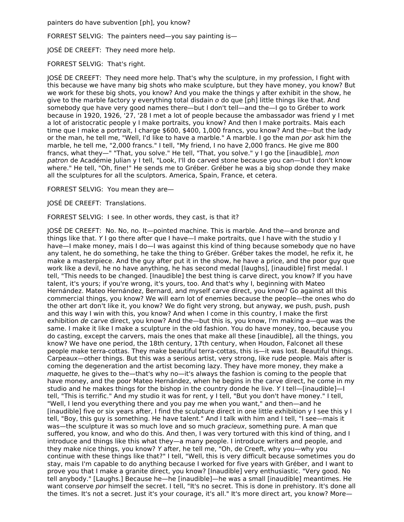painters do have subvention [ph], you know?

FORREST SELVIG: The painters need—you say painting is—

JOSÉ DE CREEFT: They need more help.

FORREST SELVIG: That's right.

JOSÉ DE CREEFT: They need more help. That's why the sculpture, in my profession, I fight with this because we have many big shots who make sculpture, but they have money, you know? But we work for these big shots, you know? And you make the things y after exhibit in the show, he give to the marble factory y everything total disdain o do que [ph] little things like that. And somebody que have very good names there—but I don't tell—and the—I go to Gréber to work because in 1920, 1926, '27, '28 I met a lot of people because the ambassador was friend y I met a lot of aristocratic people y I make portraits, you know? And then I make portraits. Mais each time que I make a portrait, I charge \$600, \$400, 1,000 francs, you know? And the—but the lady or the man, he tell me, "Well, I'd like to have a marble." A marble. I go the man por ask him the marble, he tell me, "2,000 francs." I tell, "My friend, I no have 2,000 francs. He give me 800 francs, what they—" "That, you solve." He tell, "That, you solve." y I go the [inaudible], mon patron de Académie Julian y I tell, "Look, I'll do carved stone because you can—but I don't know where." He tell, "Oh, fine!" He sends me to Gréber. Gréber he was a big shop donde they make all the sculptures for all the sculptors. America, Spain, France, et cetera.

FORREST SELVIG: You mean they are—

JOSÉ DE CREEFT: Translations.

FORREST SELVIG: I see. In other words, they cast, is that it?

JOSÉ DE CREEFT: No. No, no. It—pointed machine. This is marble. And the—and bronze and things like that. Y I go there after que I have—I make portraits, que I have with the studio y I have—I make money, mais I do—I was against this kind of thing because somebody que no have any talent, he do something, he take the thing to Gréber. Gréber takes the model, he refix it, he make a masterpiece. And the guy after put it in the show, he have a price, and the poor guy que work like a devil, he no have anything, he has second medal [laughs], [inaudible] first medal. I tell, "This needs to be changed. [Inaudible] the best thing is carve direct, you know? If you have talent, it's yours; if you're wrong, it's yours, too. And that's why I, beginning with Mateo Hernández. Mateo Hernández, Bernard, and myself carve direct, you know? Go against all this commercial things, you know? We will earn lot of enemies because the people—the ones who do the other art don't like it, you know? We do fight very strong, but anyway, we push, push, push and this way I win with this, you know? And when I come in this country, I make the first exhibition de carve direct, you know? And the—but this is, you know, I'm making a—que was the same. I make it like I make a sculpture in the old fashion. You do have money, too, because you do casting, except the carvers, mais the ones that make all these [inaudible], all the things, you know? We have one period, the 18th century, 17th century, when Houdon, Falconet all these people make terra-cottas. They make beautiful terra-cottas, this is—it was lost. Beautiful things. Carpeaux—other things. But this was a serious artist, very strong, like rude people. Mais after is coming the degeneration and the artist becoming lazy. They have more money, they make a maquette, he gives to the—that's why no—it's always the fashion is coming to the people that have money, and the poor Mateo Hernández, when he begins in the carve direct, he come in my studio and he makes things for the bishop in the country donde he live. Y I tell—[inaudible]—I tell, "This is terrific." And my studio it was for rent, y I tell, "But you don't have money." I tell, "Well, I lend you everything there and you pay me when you want," and then—and he [inaudible] five or six years after, I find the sculpture direct in one little exhibition y I see this y I tell, "Boy, this guy is something. He have talent." And I talk with him and I tell, "I see—mais it was—the sculpture it was so much love and so much *gracieux*, something pure. A man que suffered, you know, and who do this. And then, I was very tortured with this kind of thing, and I introduce and things like this what they—a many people. I introduce writers and people, and they make nice things, you know? Y after, he tell me, "Oh, de Creeft, why you—why you continue with these things like that?" I tell, "Well, this is very difficult because sometimes you do stay, mais I'm capable to do anything because I worked for five years with Gréber, and I want to prove you that I make a granite direct, you know? [Inaudible] very enthusiastic. "Very good. No tell anybody." [Laughs.] Because he—he [inaudible]—he was a small [inaudible] meantimes. He want conserve por himself the secret. I tell, "It's no secret. This is done in prehistory. It's done all the times. It's not a secret. Just it's your courage, it's all." It's more direct art, you know? More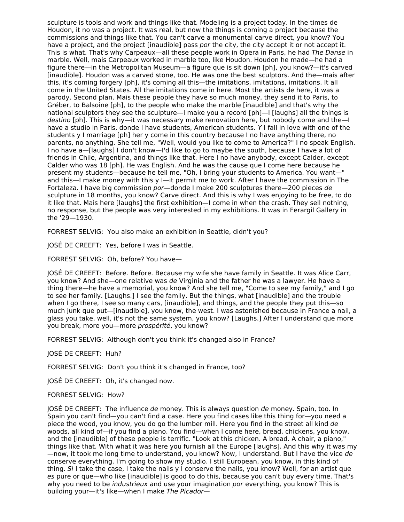sculpture is tools and work and things like that. Modeling is a project today. In the times de Houdon, it no was a project. It was real, but now the things is coming a project because the commissions and things like that. You can't carve a monumental carve direct, you know? You have a project, and the project [inaudible] pass por the city, the city accept it or not accept it. This is what. That's why Carpeaux—all these people work in Opera in Paris, he had The Danse in marble. Well, mais Carpeaux worked in marble too, like Houdon. Houdon he made—he had a figure there—in the Metropolitan Museum—a figure que is sit down [ph], you know?—it's carved [inaudible]. Houdon was a carved stone, too. He was one the best sculptors. And the—mais after this, it's coming forgery [ph], it's coming all this—the imitations, imitations, imitations. It all come in the United States. All the imitations come in here. Most the artists de here, it was a parody. Second plan. Mais these people they have so much money, they send it to Paris, to Gréber, to Balsoine [ph], to the people who make the marble [inaudible] and that's why the national sculptors they see the sculpture—I make you a record [ph]—I [laughs] all the things is destino [ph]. This is why—it was necessary make renovation here, but nobody come and the—I have a studio in Paris, donde I have students, American students. Y I fall in love with one of the students y I marriage [ph] her y come in this country because I no have anything there, no parents, no anything. She tell me, "Well, would you like to come to America?" I no speak English. I no have a—[laughs] I don't know—I'd like to go to maybe the south, because I have a lot of friends in Chile, Argentina, and things like that. Here I no have anybody, except Calder, except Calder who was 18 [ph]. He was English. And he was the cause que I come here because he present my students—because he tell me, "Oh, I bring your students to America. You want—" and this—I make money with this y I—it permit me to work. After I have the commission in The Fortaleza. I have big commission por-donde I make 200 sculptures there-200 pieces de sculpture in 18 months, you know? Carve direct. And this is why I was enjoying to be free, to do it like that. Mais here [laughs] the first exhibition—I come in when the crash. They sell nothing, no response, but the people was very interested in my exhibitions. It was in Ferargil Gallery in the '29—1930.

FORREST SELVIG: You also make an exhibition in Seattle, didn't you?

JOSÉ DE CREEFT: Yes, before I was in Seattle.

FORREST SELVIG: Oh, before? You have—

JOSÉ DE CREEFT: Before. Before. Because my wife she have family in Seattle. It was Alice Carr, you know? And she—one relative was de Virginia and the father he was a lawyer. He have a thing there—he have a memorial, you know? And she tell me, "Come to see my family," and I go to see her family. [Laughs.] I see the family. But the things, what [inaudible] and the trouble when I go there, I see so many cars, [inaudible], and things, and the people they put this—so much junk que put—[inaudible], you know, the west. I was astonished because in France a nail, a glass you take, well, it's not the same system, you know? [Laughs.] After I understand que more you break, more you—more prospérité, you know?

FORREST SELVIG: Although don't you think it's changed also in France?

JOSÉ DE CREEFT: Huh?

FORREST SELVIG: Don't you think it's changed in France, too?

JOSÉ DE CREEFT: Oh, it's changed now.

#### FORREST SELVIG: How?

JOSÉ DE CREEFT: The influence de money. This is always question de money. Spain, too. In Spain you can't find—you can't find a case. Here you find cases like this thing for—you need a piece the wood, you know, you do go the lumber mill. Here you find in the street all kind de woods, all kind of—if you find a piano. You find—when I come here, bread, chickens, you know, and the [inaudible] of these people is terrific. "Look at this chicken. A bread. A chair, a piano," things like that. With what it was here you furnish all the Europe [laughs]. And this why it was my —now, it took me long time to understand, you know? Now, I understand. But I have the vice de conserve everything. I'm going to show my studio. I still European, you know, in this kind of thing. Si I take the case, I take the nails y I conserve the nails, you know? Well, for an artist que es pure or que—who like [inaudible] is good to do this, because you can't buy every time. That's why you need to be *industrieux* and use your imagination por everything, you know? This is building your—it's like—when I make The Picador—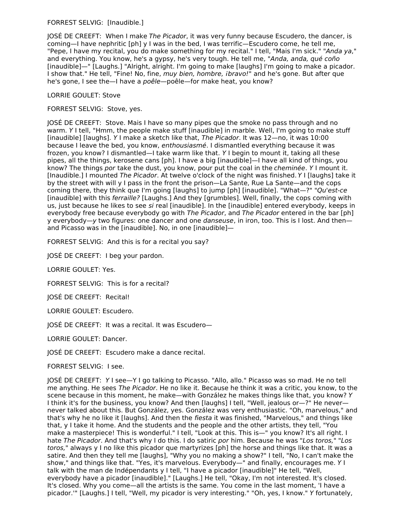## FORREST SELVIG: [Inaudible.]

JOSÉ DE CREEFT: When I make The Picador, it was very funny because Escudero, the dancer, is coming—I have nephritic [ph] y I was in the bed, I was terrific—Escudero come, he tell me, "Pepe, I have my recital, you do make something for my recital." I tell, "Mais I'm sick." "Anda ya," and everything. You know, he's a gypsy, he's very tough. He tell me, "Anda, anda, qué coño [inaudible]—" [Laughs.] "Alright, alright. I'm going to make [laughs] I'm going to make a picador. I show that." He tell, "Fine! No, fine, muy bien, hombre, ibravo!" and he's gone. But after que he's gone, I see the—I have a *poêle*—poêle—for make heat, you know?

## LORRIE GOULET: Stove

## FORREST SELVIG: Stove, yes.

JOSÉ DE CREEFT: Stove. Mais I have so many pipes que the smoke no pass through and no warm. Y I tell, "Hmm, the people make stuff [inaudible] in marble. Well, I'm going to make stuff [inaudible] [laughs]. Y I make a sketch like that, The Picador. It was 12—no, it was 10:00 because I leave the bed, you know, enthousiasmé. I dismantled everything because it was frozen, you know? I dismantled—I take warm like that. Y I begin to mount it, taking all these pipes, all the things, kerosene cans [ph]. I have a big [inaudible]—I have all kind of things, you know? The things por take the dust, you know, pour put the coal in the *cheminée*. Y I mount it. [Inaudible.] I mounted The Picador. At twelve o'clock of the night was finished. Y I [laughs] take it by the street with will y I pass in the front the prison—La Sante, Rue La Sante—and the cops coming there, they think que I'm going [laughs] to jump [ph] [inaudible]. "What—?" "Qu'est-ce [inaudible] with this ferraille? [Laughs.] And they [grumbles]. Well, finally, the cops coming with us, just because he likes to see si real [inaudible]. In the [inaudible] entered everybody, keeps in everybody free because everybody go with The Picador, and The Picador entered in the bar [ph] y everybody—y two figures: one dancer and one *danseuse*, in iron, too. This is I lost. And then and Picasso was in the [inaudible]. No, in one [inaudible]—

FORREST SELVIG: And this is for a recital you say?

JOSÉ DE CREEFT: I beg your pardon.

LORRIE GOULET: Yes.

FORREST SELVIG: This is for a recital?

JOSÉ DE CREEFT: Recital!

LORRIE GOULET: Escudero.

JOSÉ DE CREEFT: It was a recital. It was Escudero—

LORRIE GOULET: Dancer.

JOSÉ DE CREEFT: Escudero make a dance recital.

FORREST SELVIG: I see.

JOSÉ DE CREEFT: Y I see—Y I go talking to Picasso. "Allo, allo." Picasso was so mad. He no tell me anything. He sees The Picador. He no like it. Because he think it was a critic, you know, to the scene because in this moment, he make—with González he makes things like that, you know? Y I think it's for the business, you know? And then [laughs] I tell, "Well, jealous or—?" He never never talked about this. But González, yes. González was very enthusiastic. "Oh, marvelous," and that's why he no like it [laughs]. And then the fiesta it was finished, "Marvelous," and things like that, y I take it home. And the students and the people and the other artists, they tell, "You make a masterpiece! This is wonderful." I tell, "Look at this. This is—" you know? It's all right. I hate The Picador. And that's why I do this. I do satiric por him. Because he was "Los toros," "Los toros," always y I no like this picador que martyrizes [ph] the horse and things like that. It was a satire. And then they tell me [laughs], "Why you no making a show?" I tell, "No, I can't make the show," and things like that. "Yes, it's marvelous. Everybody—" and finally, encourages me. Y I talk with the man de Indépendants y I tell, "I have a picador [inaudible]" He tell, "Well, everybody have a picador [inaudible]." [Laughs.] He tell, "Okay, I'm not interested. It's closed. It's closed. Why you come—all the artists is the same. You come in the last moment, 'I have a picador.'" [Laughs.] I tell, "Well, my picador is very interesting." "Oh, yes, I know." Y fortunately,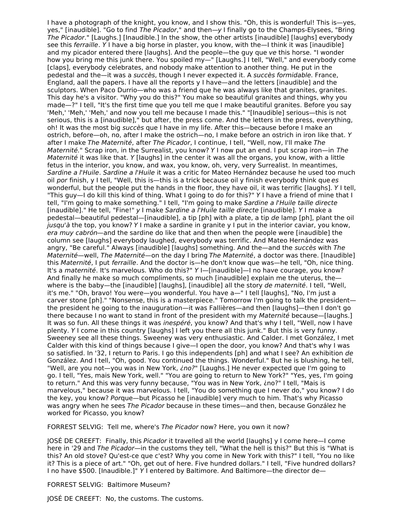I have a photograph of the knight, you know, and I show this. "Oh, this is wonderful! This is—yes, yes," [inaudible]. "Go to find The Picador," and then—y I finally go to the Champs-Elysees, "Bring The Picador." [Laughs.] [Inaudible.] In the show, the other artists [inaudible] [laughs] everybody see this ferraille. Y I have a big horse in plaster, you know, with the—I think it was [inaudible] and my picador entered there [laughs]. And the people—the guy que ve this horse. "I wonder how you bring me this junk there. You spoiled my—" [Laughs.] I tell, "Well," and everybody come [claps], everybody celebrates, and nobody make attention to another thing. He put in the pedestal and the—it was a succès, though I never expected it. A succès formidable. France, England, aall the papers. I have all the reports y I have—and the letters [inaudible] and the sculptors. When Paco Durrio—who was a friend que he was always like that granites, granites. This day he's a visitor. "Why you do this?" You make so beautiful granites and things, why you made—?" I tell, "It's the first time que you tell me que I make beautiful granites. Before you say 'Meh,' 'Meh,' 'Meh,' and now you tell me because I made this." "[Inaudible] serious—this is not serious, this is a [inaudible]," but after, the press come. And the letters in the press, everything, oh! It was the most big succès que I have in my life. After this—because before I make an ostrich, before—oh, no, after I make the ostrich—no, I make before an ostrich in iron like that. Y after I make The Maternité, after The Picador, I continue, I tell, "Well, now, I'll make The Maternité." Scrap iron, in the Surrealist, you know? Y I now put an end. I put scrap iron—in The Maternité it was like that. Y [laughs] in the center it was all the organs, you know, with a little fetus in the interior, you know, and wax, you know, oh, very, very Surrealist. In meantimes, Sardine a l'Huile. Sardine a l'Huile it was a critic for Mateo Hernández because he used too much oil por finish, y I tell, "Well, this is—this is a trick because oil y finish everybody think que es wonderful, but the people put the hands in the floor, they have oil, it was terrific [laughs]. Y I tell, "This guy—I do kill this kind of thing. What I going to do for this?" Y I have a friend of mine that I tell, "I'm going to make something." I tell, "I'm going to make Sardine a l'Huile taille directe [inaudible]." He tell, "Fine!" y I make Sardine a l'Huile taille directe [inaudible]. Y I make a pedestal—beautiful pedestal—[inaudible], a tip [ph] with a plate, a tip de lamp [ph], plant the oil jusqu'à the top, you know? Y I make a sardine in granite y I put in the interior caviar, you know, era muy cabrón—and the sardine do like that and then when the people were [inaudible] the column see [laughs] everybody laughed, everybody was terrific. And Mateo Hernández was angry, "Be careful." Always [inaudible] [laughs] something. And the—and the succès with The Maternité—well, The Maternité—on the day I bring The Maternité, a doctor was there. [Inaudible] this Maternité, I put ferraille. And the doctor is—he don't know que was—he tell, "Oh, nice thing. It's a maternité. It's marvelous. Who do this?" Y I-[inaudible]-I no have courage, you know? And finally he make so much compliments, so much [inaudible] explain me the uterus, the where is the baby—the [inaudible] [laughs], [inaudible] all the story de maternité. I tell, "Well, it's me." "Oh, bravo! You were—you wonderful. You have a—" I tell [laughs], "No, I'm just a carver stone [ph]." "Nonsense, this is a masterpiece." Tomorrow I'm going to talk the president the president he going to the inauguration—it was Fallières—and then [laughs]—then I don't go there because I no want to stand in front of the president with my Maternité because-[laughs.] It was so fun. All these things it was *inespéré*, you know? And that's why I tell, "Well, now I have plenty. Y I come in this country [laughs] I left you there all this junk." But this is very funny. Sweeney see all these things. Sweeney was very enthusiastic. And Calder. I met González, I met Calder with this kind of things because I give—I open the door, you know? And that's why I was so satisfied. In '32, I return to Paris. I go this independents [ph] and what I see? An exhibition de González. And I tell, "Oh, good. You continued the things. Wonderful." But he is blushing, he tell, "Well, are you not—you was in New York, ino?" [Laughs.] He never expected que I'm going to go. I tell, "Yes, mais New York, well." "You are going to return to New York?" "Yes, yes, I'm going to return." And this was very funny because, "You was in New York, ¿no?" I tell, "Mais is marvelous," because it was marvelous. I tell, "You do something que I never do," you know? I do the key, you know? Porque—but Picasso he [inaudible] very much to him. That's why Picasso was angry when he sees The Picador because in these times—and then, because González he worked for Picasso, you know?

FORREST SELVIG: Tell me, where's The Picador now? Here, you own it now?

JOSÉ DE CREEFT: Finally, this Picador it travelled all the world [laughs] y I come here—I come here in '29 and The Picador—in the customs they tell, "What the hell is this?" But this is "What is this? An old stove? Qu'est-ce que c'est? Why you come in New York with this?" I tell, "You no like it? This is a piece of art." "Oh, get out of here. Five hundred dollars." I tell, "Five hundred dollars? I no have \$500. [Inaudible.]" Y I entered by Baltimore. And Baltimore—the director de—

FORREST SELVIG: Baltimore Museum?

JOSÉ DE CREEFT: No, the customs. The customs.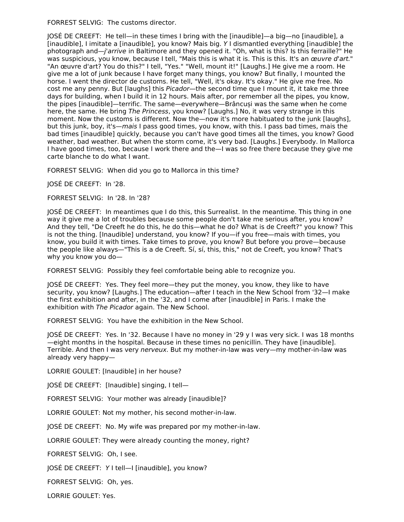FORREST SELVIG: The customs director.

JOSÉ DE CREEFT: He tell—in these times I bring with the [inaudible]—a big—no [inaudible], a [inaudible], I imitate a [inaudible], you know? Mais big. Y I dismantled everything [inaudible] the photograph and—j'arrive in Baltimore and they opened it. "Oh, what is this? Is this ferraille?" He was suspicious, you know, because I tell, "Mais this is what it is. This is this. It's an œuvre d'art." "An œuvre d'art? You do this?" I tell, "Yes." "Well, mount it!" [Laughs.] He give me a room. He give me a lot of junk because I have forget many things, you know? But finally, I mounted the horse. I went the director de customs. He tell, "Well, it's okay. It's okay." He give me free. No cost me any penny. But [laughs] this *Picador*—the second time que I mount it, it take me three days for building, when I build it in 12 hours. Mais after, por remember all the pipes, you know, the pipes [inaudible]—terrific. The same—everywhere—Brâncuși was the same when he come here, the same. He bring The Princess, you know? [Laughs.] No, it was very strange in this moment. Now the customs is different. Now the—now it's more habituated to the junk [laughs], but this junk, boy, it's—mais I pass good times, you know, with this. I pass bad times, mais the bad times [inaudible] quickly, because you can't have good times all the times, you know? Good weather, bad weather. But when the storm come, it's very bad. [Laughs.] Everybody. In Mallorca I have good times, too, because I work there and the—I was so free there because they give me carte blanche to do what I want.

FORREST SELVIG: When did you go to Mallorca in this time?

JOSÉ DE CREEFT: In '28.

FORREST SELVIG: In '28. In '28?

JOSÉ DE CREEFT: In meantimes que I do this, this Surrealist. In the meantime. This thing in one way it give me a lot of troubles because some people don't take me serious after, you know? And they tell, "De Creeft he do this, he do this—what he do? What is de Creeft?" you know? This is not the thing. [Inaudible] understand, you know? If you—if you free—mais with times, you know, you build it with times. Take times to prove, you know? But before you prove—because the people like always—"This is a de Creeft. Sí, sí, this, this," not de Creeft, you know? That's why you know you do—

FORREST SELVIG: Possibly they feel comfortable being able to recognize you.

JOSÉ DE CREEFT: Yes. They feel more—they put the money, you know, they like to have security, you know? [Laughs.] The education—after I teach in the New School from '32—I make the first exhibition and after, in the '32, and I come after [inaudible] in Paris. I make the exhibition with The Picador again. The New School.

FORREST SELVIG: You have the exhibition in the New School.

JOSÉ DE CREEFT: Yes. In '32. Because I have no money in '29 y I was very sick. I was 18 months —eight months in the hospital. Because in these times no penicillin. They have [inaudible]. Terrible. And then I was very nerveux. But my mother-in-law was very—my mother-in-law was already very happy—

LORRIE GOULET: [Inaudible] in her house?

JOSÉ DE CREEFT: [Inaudible] singing, I tell—

FORREST SELVIG: Your mother was already [inaudible]?

LORRIE GOULET: Not my mother, his second mother-in-law.

JOSÉ DE CREEFT: No. My wife was prepared por my mother-in-law.

LORRIE GOULET: They were already counting the money, right?

FORREST SELVIG: Oh, I see.

JOSÉ DE CREEFT: Y I tell—I [inaudible], you know?

FORREST SELVIG: Oh, yes.

LORRIE GOULET: Yes.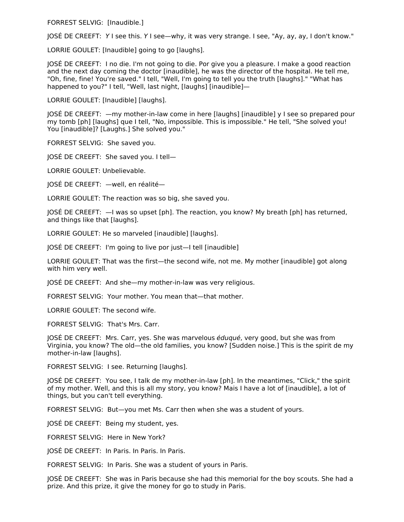FORREST SELVIG: [Inaudible.]

JOSÉ DE CREEFT: Y I see this. Y I see—why, it was very strange. I see, "Ay, ay, ay, I don't know."

LORRIE GOULET: [Inaudible] going to go [laughs].

JOSÉ DE CREEFT: I no die. I'm not going to die. Por give you a pleasure. I make a good reaction and the next day coming the doctor [inaudible], he was the director of the hospital. He tell me, "Oh, fine, fine! You're saved." I tell, "Well, I'm going to tell you the truth [laughs]." "What has happened to you?" I tell, "Well, last night, [laughs] [inaudible]—

LORRIE GOULET: [Inaudible] [laughs].

JOSÉ DE CREEFT: —my mother-in-law come in here [laughs] [inaudible] y I see so prepared pour my tomb [ph] [laughs] que I tell, "No, impossible. This is impossible." He tell, "She solved you! You [inaudible]? [Laughs.] She solved you."

FORREST SELVIG: She saved you.

JOSÉ DE CREEFT: She saved you. I tell—

LORRIE GOULET: Unbelievable.

JOSÉ DE CREEFT: —well, en réalité—

LORRIE GOULET: The reaction was so big, she saved you.

JOSÉ DE CREEFT: —I was so upset [ph]. The reaction, you know? My breath [ph] has returned, and things like that [laughs].

LORRIE GOULET: He so marveled [inaudible] [laughs].

JOSÉ DE CREEFT: I'm going to live por just—I tell [inaudible]

LORRIE GOULET: That was the first—the second wife, not me. My mother [inaudible] got along with him very well.

JOSÉ DE CREEFT: And she—my mother-in-law was very religious.

FORREST SELVIG: Your mother. You mean that—that mother.

LORRIE GOULET: The second wife.

FORREST SELVIG: That's Mrs. Carr.

JOSÉ DE CREEFT: Mrs. Carr, yes. She was marvelous éduqué, very good, but she was from Virginia, you know? The old—the old families, you know? [Sudden noise.] This is the spirit de my mother-in-law [laughs].

FORREST SELVIG: I see. Returning [laughs].

JOSÉ DE CREEFT: You see, I talk de my mother-in-law [ph]. In the meantimes, "Click," the spirit of my mother. Well, and this is all my story, you know? Mais I have a lot of [inaudible], a lot of things, but you can't tell everything.

FORREST SELVIG: But—you met Ms. Carr then when she was a student of yours.

JOSÉ DE CREEFT: Being my student, yes.

FORREST SELVIG: Here in New York?

JOSÉ DE CREEFT: In Paris. In Paris. In Paris.

FORREST SELVIG: In Paris. She was a student of yours in Paris.

JOSÉ DE CREEFT: She was in Paris because she had this memorial for the boy scouts. She had a prize. And this prize, it give the money for go to study in Paris.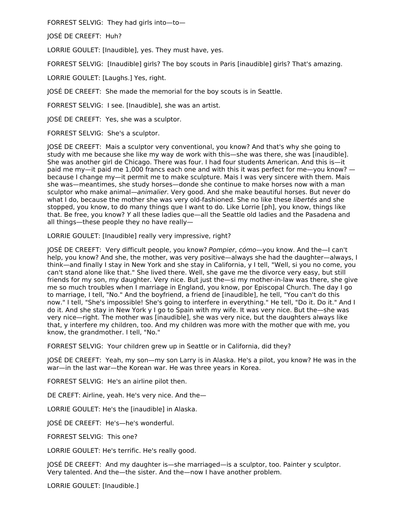FORREST SELVIG: They had girls into—to—

JOSÉ DE CREEFT: Huh?

LORRIE GOULET: [Inaudible], yes. They must have, yes.

FORREST SELVIG: [Inaudible] girls? The boy scouts in Paris [inaudible] girls? That's amazing.

LORRIE GOULET: [Laughs.] Yes, right.

JOSÉ DE CREEFT: She made the memorial for the boy scouts is in Seattle.

FORREST SELVIG: I see. [Inaudible], she was an artist.

JOSÉ DE CREEFT: Yes, she was a sculptor.

FORREST SELVIG: She's a sculptor.

JOSÉ DE CREEFT: Mais a sculptor very conventional, you know? And that's why she going to study with me because she like my way de work with this—she was there, she was [inaudible]. She was another girl de Chicago. There was four. I had four students American. And this is—it paid me my—it paid me 1,000 francs each one and with this it was perfect for me—you know? because I change my—it permit me to make sculpture. Mais I was very sincere with them. Mais she was—meantimes, she study horses—donde she continue to make horses now with a man sculptor who make animal—animalier. Very good. And she make beautiful horses. But never do what I do, because the mother she was very old-fashioned. She no like these libertés and she stopped, you know, to do many things que I want to do. Like Lorrie [ph], you know, things like that. Be free, you know? Y all these ladies que—all the Seattle old ladies and the Pasadena and all things—these people they no have really—

LORRIE GOULET: [Inaudible] really very impressive, right?

JOSÉ DE CREEFT: Very difficult people, you know? Pompier, cómo—you know. And the—I can't help, you know? And she, the mother, was very positive—always she had the daughter—always, I think—and finally I stay in New York and she stay in California, y I tell, "Well, si you no come, you can't stand alone like that." She lived there. Well, she gave me the divorce very easy, but still friends for my son, my daughter. Very nice. But just the—si my mother-in-law was there, she give me so much troubles when I marriage in England, you know, por Episcopal Church. The day I go to marriage, I tell, "No." And the boyfriend, a friend de [inaudible], he tell, "You can't do this now." I tell, "She's impossible! She's going to interfere in everything." He tell, "Do it. Do it." And I do it. And she stay in New York y I go to Spain with my wife. It was very nice. But the—she was very nice—right. The mother was [inaudible], she was very nice, but the daughters always like that, y interfere my children, too. And my children was more with the mother que with me, you know, the grandmother. I tell, "No."

FORREST SELVIG: Your children grew up in Seattle or in California, did they?

JOSÉ DE CREEFT: Yeah, my son—my son Larry is in Alaska. He's a pilot, you know? He was in the war—in the last war—the Korean war. He was three years in Korea.

FORREST SELVIG: He's an airline pilot then.

DE CREFT: Airline, yeah. He's very nice. And the—

LORRIE GOULET: He's the [inaudible] in Alaska.

JOSÉ DE CREEFT: He's—he's wonderful.

FORREST SELVIG: This one?

LORRIE GOULET: He's terrific. He's really good.

JOSÉ DE CREEFT: And my daughter is—she marriaged—is a sculptor, too. Painter y sculptor. Very talented. And the—the sister. And the—now I have another problem.

LORRIE GOULET: [Inaudible.]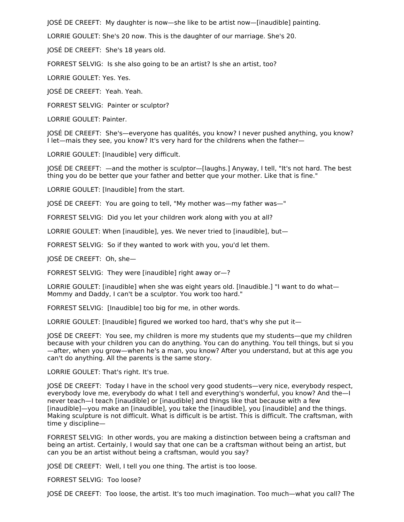JOSÉ DE CREEFT: My daughter is now—she like to be artist now—[inaudible] painting.

LORRIE GOULET: She's 20 now. This is the daughter of our marriage. She's 20.

JOSÉ DE CREEFT: She's 18 years old.

FORREST SELVIG: Is she also going to be an artist? Is she an artist, too?

LORRIE GOULET: Yes. Yes.

JOSÉ DE CREEFT: Yeah. Yeah.

FORREST SELVIG: Painter or sculptor?

LORRIE GOULET: Painter.

JOSÉ DE CREEFT: She's—everyone has qualités, you know? I never pushed anything, you know? I let—mais they see, you know? It's very hard for the childrens when the father—

LORRIE GOULET: [Inaudible] very difficult.

JOSÉ DE CREEFT: —and the mother is sculptor—[laughs.] Anyway, I tell, "It's not hard. The best thing you do be better que your father and better que your mother. Like that is fine."

LORRIE GOULET: [Inaudible] from the start.

JOSÉ DE CREEFT: You are going to tell, "My mother was—my father was—"

FORREST SELVIG: Did you let your children work along with you at all?

LORRIE GOULET: When [inaudible], yes. We never tried to [inaudible], but—

FORREST SELVIG: So if they wanted to work with you, you'd let them.

JOSÉ DE CREEFT: Oh, she—

FORREST SELVIG: They were [inaudible] right away or—?

LORRIE GOULET: [inaudible] when she was eight years old. [Inaudible.] "I want to do what— Mommy and Daddy, I can't be a sculptor. You work too hard."

FORREST SELVIG: [Inaudible] too big for me, in other words.

LORRIE GOULET: [Inaudible] figured we worked too hard, that's why she put it—

JOSÉ DE CREEFT: You see, my children is more my students que my students—que my children because with your children you can do anything. You can do anything. You tell things, but si you —after, when you grow—when he's a man, you know? After you understand, but at this age you can't do anything. All the parents is the same story.

LORRIE GOULET: That's right. It's true.

JOSÉ DE CREEFT: Today I have in the school very good students—very nice, everybody respect, everybody love me, everybody do what I tell and everything's wonderful, you know? And the—I never teach—I teach [inaudible] or [inaudible] and things like that because with a few [inaudible]—you make an [inaudible], you take the [inaudible], you [inaudible] and the things. Making sculpture is not difficult. What is difficult is be artist. This is difficult. The craftsman, with time y discipline—

FORREST SELVIG: In other words, you are making a distinction between being a craftsman and being an artist. Certainly, I would say that one can be a craftsman without being an artist, but can you be an artist without being a craftsman, would you say?

JOSÉ DE CREEFT: Well, I tell you one thing. The artist is too loose.

FORREST SELVIG: Too loose?

JOSÉ DE CREEFT: Too loose, the artist. It's too much imagination. Too much—what you call? The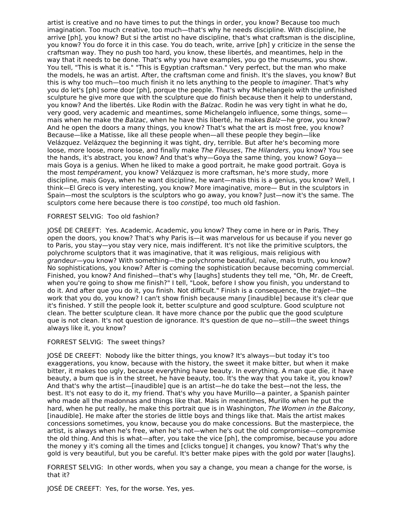artist is creative and no have times to put the things in order, you know? Because too much imagination. Too much creative, too much—that's why he needs discipline. With discipline, he arrive [ph], you know? But si the artist no have discipline, that's what craftsman is the discipline, you know? You do force it in this case. You do teach, write, arrive [ph] y criticize in the sense the craftsman way. They no push too hard, you know, these libertés, and meantimes, help in the way that it needs to be done. That's why you have examples, you go the museums, you show. You tell, "This is what it is." "This is Egyptian craftsman." Very perfect, but the man who make the models, he was an artist. After, the craftsman come and finish. It's the slaves, you know? But this is why too much—too much finish it no lets anything to the people to *imaginer*. That's why you do let's [ph] some door [ph], porque the people. That's why Michelangelo with the unfinished sculpture he give more que with the sculpture que do finish because then it help to understand, you know? And the libertés. Like Rodin with the Balzac. Rodin he was very tight in what he do, very good, very academic and meantimes, some Michelangelo influence, some things, some mais when he make the Balzac, when he have this liberté, he makes Balz—he grow, you know? And he open the doors a many things, you know? That's what the art is most free, you know? Because—like a Matisse, like all these people when—all these people they begin—like Velázquez. Velázquez the beginning it was tight, dry, terrible. But after he's becoming more loose, more loose, more loose, and finally make The Fileuses, The Hilanders, you know? You see the hands, it's abstract, you know? And that's why—Goya the same thing, you know? Goya mais Goya is a genius. When he liked to make a good portrait, he make good portrait. Goya is the most tempérament, you know? Velázquez is more craftsman, he's more study, more discipline, mais Goya, when he want discipline, he want—mais this is a genius, you know? Well, I think—El Greco is very interesting, you know? More imaginative, more— But in the sculptors in Spain—most the sculptors is the sculptors who go away, you know? Just—now it's the same. The sculptors come here because there is too constipé, too much old fashion.

#### FORREST SELVIG: Too old fashion?

JOSÉ DE CREEFT: Yes. Academic. Academic, you know? They come in here or in Paris. They open the doors, you know? That's why Paris is—it was marvelous for us because if you never go to Paris, you stay—you stay very nice, mais indifferent. It's not like the primitive sculptors, the polychrome sculptors that it was imaginative, that it was religious, mais religious with grandeur—you know? With something—the polychrome beautiful, naïve, mais truth, you know? No sophistications, you know? After is coming the sophistication because becoming commercial. Finished, you know? And finished—that's why [laughs] students they tell me, "Oh, Mr. de Creeft, when you're going to show me finish?" I tell, "Look, before I show you finish, you understand to do it. And after que you do it, you finish. Not difficult." Finish is a consequence, the trajet—the work that you do, you know? I can't show finish because many [inaudible] because it's clear que it's finished. Y still the people look it, better sculpture and good sculpture. Good sculpture not clean. The better sculpture clean. It have more chance por the public que the good sculpture que is not clean. It's not question de ignorance. It's question de que no—still—the sweet things always like it, you know?

#### FORREST SELVIG: The sweet things?

JOSÉ DE CREEFT: Nobody like the bitter things, you know? It's always—but today it's too exaggerations, you know, because with the history, the sweet it make bitter, but when it make bitter, it makes too ugly, because everything have beauty. In everything. A man que die, it have beauty, a bum que is in the street, he have beauty, too. It's the way that you take it, you know? And that's why the artist—[inaudible] que is an artist—he do take the best—not the less, the best. It's not easy to do it, my friend. That's why you have Murillo—a painter, a Spanish painter who made all the madonnas and things like that. Mais in meantimes, Murillo when he put the hard, when he put really, he make this portrait que is in Washington, The Women in the Balcony, [inaudible]. He make after the stories de little boys and things like that. Mais the artist makes concessions sometimes, you know, because you do make concessions. But the masterpiece, the artist, is always when he's free, when he's not—when he's out the old compromise—compromise the old thing. And this is what—after, you take the vice [ph], the compromise, because you adore the money y it's coming all the times and [clicks tongue] it changes, you know? That's why the gold is very beautiful, but you be careful. It's better make pipes with the gold por water [laughs].

FORREST SELVIG: In other words, when you say a change, you mean a change for the worse, is that it?

JOSÉ DE CREEFT: Yes, for the worse. Yes, yes.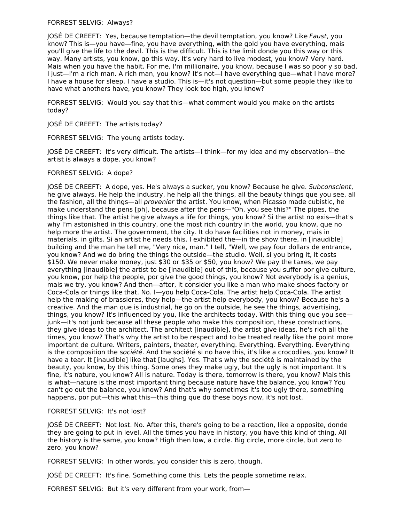#### FORREST SELVIG: Always?

JOSÉ DE CREEFT: Yes, because temptation—the devil temptation, you know? Like Faust, you know? This is—you have—fine, you have everything, with the gold you have everything, mais you'll give the life to the devil. This is the difficult. This is the limit donde you this way or this way. Many artists, you know, go this way. It's very hard to live modest, you know? Very hard. Mais when you have the habit. For me, I'm millionaire, you know, because I was so poor y so bad, I just—I'm a rich man. A rich man, you know? It's not—I have everything que—what I have more? I have a house for sleep. I have a studio. This is—it's not question—but some people they like to have what anothers have, you know? They look too high, you know?

FORREST SELVIG: Would you say that this—what comment would you make on the artists today?

JOSÉ DE CREEFT: The artists today?

FORREST SELVIG: The young artists today.

JOSÉ DE CREEFT: It's very difficult. The artists—I think—for my idea and my observation—the artist is always a dope, you know?

#### FORREST SELVIG: A dope?

JOSÉ DE CREEFT: A dope, yes. He's always a sucker, you know? Because he give. Subconscient, he give always. He help the industry, he help all the things, all the beauty things que you see, all the fashion, all the things—all provenier the artist. You know, when Picasso made cubistic, he make understand the pens [ph], because after the pens—"Oh, you see this?" The pipes, the things like that. The artist he give always a life for things, you know? Si the artist no exis—that's why I'm astonished in this country, one the most rich country in the world, you know, que no help more the artist. The government, the city. It do have facilities not in money, mais in materials, in gifts. Si an artist he needs this. I exhibited the—in the show there, in [inaudible] building and the man he tell me, "Very nice, man." I tell, "Well, we pay four dollars de entrance, you know? And we do bring the things the outside—the studio. Well, si you bring it, it costs \$150. We never make money, just \$30 or \$35 or \$50, you know? We pay the taxes, we pay everything [inaudible] the artist to be [inaudible] out of this, because you suffer por give culture, you know, por help the people, por give the good things, you know? Not everybody is a genius, mais we try, you know? And then—after, it consider you like a man who make shoes factory or Coca-Cola or things like that. No. I—you help Coca-Cola. The artist help Coca-Cola. The artist help the making of brassieres, they help—the artist help everybody, you know? Because he's a creative. And the man que is industrial, he go on the outside, he see the things, advertising, things, you know? It's influenced by you, like the architects today. With this thing que you see junk—it's not junk because all these people who make this composition, these constructions, they give ideas to the architect. The architect [inaudible], the artist give ideas, he's rich all the times, you know? That's why the artist to be respect and to be treated really like the point more important de culture. Writers, painters, theater, everything. Everything. Everything. Everything is the composition the *société*. And the société si no have this, it's like a crocodiles, you know? It have a tear. It [inaudible] like that [laughs]. Yes. That's why the société is maintained by the beauty, you know, by this thing. Some ones they make ugly, but the ugly is not important. It's fine, it's nature, you know? All is nature. Today is there, tomorrow is there, you know? Mais this is what—nature is the most important thing because nature have the balance, you know? You can't go out the balance, you know? And that's why sometimes it's too ugly there, something happens, por put—this what this—this thing que do these boys now, it's not lost.

## FORREST SELVIG: It's not lost?

JOSÉ DE CREEFT: Not lost. No. After this, there's going to be a reaction, like a opposite, donde they are going to put in level. All the times you have in history, you have this kind of thing. All the history is the same, you know? High then low, a circle. Big circle, more circle, but zero to zero, you know?

FORREST SELVIG: In other words, you consider this is zero, though.

JOSÉ DE CREEFT: It's fine. Something come this. Lets the people sometime relax.

FORREST SELVIG: But it's very different from your work, from—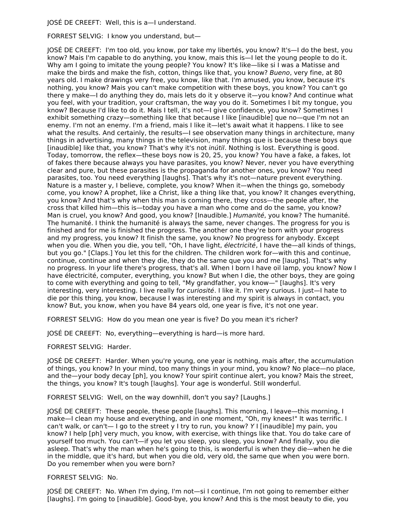JOSÉ DE CREEFT: Well, this is a—I understand.

FORREST SELVIG: I know you understand, but—

JOSÉ DE CREEFT: I'm too old, you know, por take my libertés, you know? It's—I do the best, you know? Mais I'm capable to do anything, you know, mais this is—I let the young people to do it. Why am I going to imitate the young people? You know? It's like—like si I was a Matisse and make the birds and make the fish, cotton, things like that, you know? Bueno, very fine, at 80 years old. I make drawings very free, you know, like that. I'm amused, you know, because it's nothing, you know? Mais you can't make competition with these boys, you know? You can't go there y make—I do anything they do, mais lets do it y observe it—you know? And continue what you feel, with your tradition, your craftsman, the way you do it. Sometimes I bit my tongue, you know? Because I'd like to do it. Mais I tell, it's not—I give confidence, you know? Sometimes I exhibit something crazy—something like that because I like [inaudible] que no—que I'm not an enemy. I'm not an enemy. I'm a friend, mais I like it—let's await what it happens. I like to see what the results. And certainly, the results—I see observation many things in architecture, many things in advertising, many things in the television, many things que is because these boys que [inaudible] like that, you know? That's why it's not inútil. Nothing is lost. Everything is good. Today, tomorrow, the reflex—these boys now is 20, 25, you know? You have a fake, a fakes, lot of fakes there because always you have parasites, you know? Never, never you have everything clear and pure, but these parasites is the propaganda for another ones, you know? You need parasites, too. You need everything [laughs]. That's why it's not—nature prevent everything. Nature is a master y, I believe, complete, you know? When it—when the things go, somebody come, you know? A prophet, like a Christ, like a thing like that, you know? It changes everything, you know? And that's why when this man is coming there, they cross—the people after, the cross that killed him—this is—today you have a man who come and do the same, you know? Man is cruel, you know? And good, you know? [Inaudible.] Humanité, you know? The humanité. The humanité. I think the humanité is always the same, never changes. The progress for you is finished and for me is finished the progress. The another one they're born with your progress and my progress, you know? It finish the same, you know? No progress for anybody. Except when you die. When you die, you tell, "Oh, I have light, électricité, I have the—all kinds of things, but you go." [Claps.] You let this for the children. The children work for—with this and continue, continue, continue and when they die, they do the same que you and me [laughs]. That's why no progress. In your life there's progress, that's all. When I born I have oil lamp, you know? Now I have électricité, computer, everything, you know? But when I die, the other boys, they are going to come with everything and going to tell, "My grandfather, you know—" [laughs]. It's very interesting, very interesting. I live really for curiosité. I like it. I'm very curious. I just—I hate to die por this thing, you know, because I was interesting and my spirit is always in contact, you know? But, you know, when you have 84 years old, one year is five, it's not one year.

FORREST SELVIG: How do you mean one year is five? Do you mean it's richer?

JOSÉ DE CREEFT: No, everything—everything is hard—is more hard.

FORREST SELVIG: Harder.

JOSÉ DE CREEFT: Harder. When you're young, one year is nothing, mais after, the accumulation of things, you know? In your mind, too many things in your mind, you know? No place—no place, and the—your body decay [ph], you know? Your spirit continue alert, you know? Mais the street, the things, you know? It's tough [laughs]. Your age is wonderful. Still wonderful.

FORREST SELVIG: Well, on the way downhill, don't you say? [Laughs.]

JOSÉ DE CREEFT: These people, these people [laughs]. This morning, I leave—this morning, I make—I clean my house and everything, and in one moment, "Oh, my knees!" It was terrific. I can't walk, or can't— I go to the street y I try to run, you know? Y I [inaudible] my pain, you know? I help [ph] very much, you know, with exercise, with things like that. You do take care of yourself too much. You can't—if you let you sleep, you sleep, you know? And finally, you die asleep. That's why the man when he's going to this, is wonderful is when they die—when he die in the middle, que it's hard, but when you die old, very old, the same que when you were born. Do you remember when you were born?

FORREST SELVIG: No.

JOSÉ DE CREEFT: No. When I'm dying, I'm not—si I continue, I'm not going to remember either [laughs]. I'm going to [inaudible]. Good-bye, you know? And this is the most beauty to die, you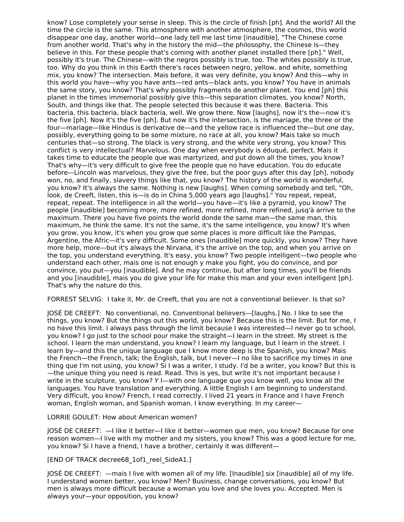know? Lose completely your sense in sleep. This is the circle of finish [ph]. And the world? All the time the circle is the same. This atmosphere with another atmosphere, the cosmos, this world disappear one day, another world—one lady tell me last time [inaudible], "The Chinese come from another world. That's why in the history the mid—the philosophy, the Chinese is—they believe in this. For these people that's coming with another planet installed there [ph]." Well, possibly it's true. The Chinese—with the negros possibly is true, too. The whites possibly is true, too. Why do you think in this Earth there's races between negro, yellow, and white, something mix, you know? The intersection. Mais before, it was very definite, you know? And this—why in this world you have—why you have ants—red ants—black ants, you know? You have in animals the same story, you know? That's why possibly fragments de another planet. You end [ph] this planet in the times immemorial possibly give this—this separation climates, you know? North, South, and things like that. The people selected this because it was there. Bacteria. This bacteria, this bacteria, black bacteria, well. We grow there. Now [laughs], now it's the—now it's the five [ph]. Now it's the five [ph]. But now it's the intersection, is the mariage, the three or the four—mariage—like Hindus is derivative de—and the yellow race is influenced the—but one day, possibly, everything going to be some mixture, no race at all, you know? Mais take so much centuries that—so strong. The black is very strong, and the white very strong, you know? This conflict is very intellectual? Marvelous. One day when everybody is éduqué, perfect. Mais it takes time to educate the people que was martyrized, and put down all the times, you know? That's why—it's very difficult to give free the people que no have education. You do educate before—Lincoln was marvelous, they give the free, but the poor guys after this day [ph], nobody won, no, and finally, slavery things like that, you know? The history of the world is wonderful, you know? It's always the same. Nothing is new [laughs]. When coming somebody and tell, "Oh, look, de Creeft, listen, this is—is do in China 5,000 years ago [laughs]." You repeat, repeat, repeat, repeat. The intelligence in all the world—you have—it's like a pyramid, you know? The people [inaudible] becoming more, more refined, more refined, more refined, jusq'à arrive to the maximum. There you have five points the world donde the same man—the same man, this maximum, he think the same. It's not the same, it's the same intelligence, you know? It's when you grow, you know, it's when you grow que some places is more difficult like the Pampas, Argentine, the Afric—it's very difficult. Some ones [inaudible] more quickly, you know? They have more help, more—but it's always the Nirvana, it's the arrive on the top, and when you arrive on the top, you understand everything. It's easy, you know? Two people intelligent—two people who understand each other, mais one is not enough y make you fight, you do convince, and por convince, you put—you [inaudible]. And he may continue, but after long times, you'll be friends and you [inaudible], mais you do give your life for make this man and your even intelligent [ph]. That's why the nature do this.

FORREST SELVIG: I take it, Mr. de Creeft, that you are not a conventional believer. Is that so?

JOSÉ DE CREEFT: No conventional, no. Conventional believers—[laughs.] No. I like to see the things, you know? But the things out this world, you know? Because this is the limit. But for me, I no have this limit. I always pass through the limit because I was interested—I never go to school, you know? I go just to the school pour make the straight—I learn in the street. My street is the school. I learn the man understand, you know? I learn my language, but I learn in the street. I learn by—and this the unique language que I know more deep is the Spanish, you know? Mais the French—the French, talk; the English, talk, but I never—I no like to sacrifice my times in one thing que I'm not using, you know? Si I was a writer, I study. I'd be a writer, you know? But this is —the unique thing you need is read. Read. This is yes, but write it's not important because I write in the sculpture, you know? Y I—with one language que you know well, you know all the languages. You have translation and everything. A little English I am beginning to understand. Very difficult, you know? French, I read correctly. I lived 21 years in France and I have French woman, English woman, and Spanish woman. I know everything. In my career—

LORRIE GOULET: How about American women?

JOSÉ DE CREEFT: —I like it better—I like it better—women que men, you know? Because for one reason women—I live with my mother and my sisters, you know? This was a good lecture for me, you know? Si I have a friend, I have a brother, certainly it was different—

[END OF TRACK decree68\_1of1\_reel\_SideA1.]

JOSÉ DE CREEFT: —mais I live with women all of my life. [Inaudible] six [inaudible] all of my life. I understand women better, you know? Men? Business, change conversations, you know? But men is always more difficult because a woman you love and she loves you. Accepted. Men is always your—your opposition, you know?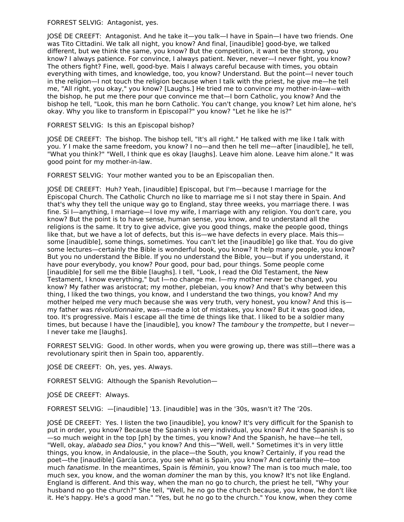FORREST SELVIG: Antagonist, yes.

JOSÉ DE CREEFT: Antagonist. And he take it—you talk—I have in Spain—I have two friends. One was Tito Cittadini. We talk all night, you know? And final, [inaudible] good-bye, we talked different, but we think the same, you know? But the competition, it want be the strong, you know? I always patience. For convince, I always patient. Never, never—I never fight, you know? The others fight? Fine, well, good-bye. Mais I always careful because with times, you obtain everything with times, and knowledge, too, you know? Understand. But the point—I never touch in the religion—I not touch the religion because when I talk with the priest, he give me—he tell me, "All right, you okay," you know? [Laughs.] He tried me to convince my mother-in-law—with the bishop, he put me there pour que convince me that—I born Catholic, you know? And the bishop he tell, "Look, this man he born Catholic. You can't change, you know? Let him alone, he's okay. Why you like to transform in Episcopal?" you know? "Let he like he is?"

FORREST SELVIG: Is this an Episcopal bishop?

JOSÉ DE CREEFT: The bishop. The bishop tell, "It's all right." He talked with me like I talk with you. Y I make the same freedom, you know? I no—and then he tell me—after [inaudible], he tell, "What you think?" "Well, I think que es okay [laughs]. Leave him alone. Leave him alone." It was good point for my mother-in-law.

FORREST SELVIG: Your mother wanted you to be an Episcopalian then.

JOSÉ DE CREEFT: Huh? Yeah, [inaudible] Episcopal, but I'm—because I marriage for the Episcopal Church. The Catholic Church no like to marriage me si I not stay there in Spain. And that's why they tell the unique way go to England, stay three weeks, you marriage there. I was fine. Si I—anything, I marriage—I love my wife, I marriage with any religion. You don't care, you know? But the point is to have sense, human sense, you know, and to understand all the religions is the same. It try to give advice, give you good things, make the people good, things like that, but we have a lot of defects, but this is—we have defects in every place. Mais this some [inaudible], some things, sometimes. You can't let the [inaudible] go like that. You do give some lectures—certainly the Bible is wonderful book, you know? It help many people, you know? But you no understand the Bible. If you no understand the Bible, you—but if you understand, it have pour everybody, you know? Pour good, pour bad, pour things. Some people come [inaudible] for sell me the Bible [laughs]. I tell, "Look, I read the Old Testament, the New Testament, I know everything," but I—no change me. I—my mother never be changed, you know? My father was aristocrat; my mother, plebeian, you know? And that's why between this thing, I liked the two things, you know, and I understand the two things, you know? And my mother helped me very much because she was very truth, very honest, you know? And this is my father was révolutionnaire, was—made a lot of mistakes, you know? But it was good idea, too. It's progressive. Mais I escape all the time de things like that. I liked to be a soldier many times, but because I have the [inaudible], you know? The tambour y the trompette, but I never-I never take me [laughs].

FORREST SELVIG: Good. In other words, when you were growing up, there was still—there was a revolutionary spirit then in Spain too, apparently.

JOSÉ DE CREEFT: Oh, yes, yes. Always.

FORREST SELVIG: Although the Spanish Revolution—

JOSÉ DE CREEFT: Always.

FORREST SELVIG: —[inaudible] '13. [inaudible] was in the '30s, wasn't it? The '20s.

JOSÉ DE CREEFT: Yes. I listen the two [inaudible], you know? It's very difficult for the Spanish to put in order, you know? Because the Spanish is very individual, you know? And the Spanish is so —so much weight in the top [ph] by the times, you know? And the Spanish, he have—he tell, "Well, okay, alabado sea Dios," you know? And this-"Well, well." Sometimes it's in very little things, you know, in Andalousie, in the place—the South, you know? Certainly, if you read the poet—the [inaudible] García Lorca, you see what is Spain, you know? And certainly the—too much fanatisme. In the meantimes, Spain is féminin, you know? The man is too much male, too much sex, you know, and the woman *dominer* the man by this, you know? It's not like England. England is different. And this way, when the man no go to church, the priest he tell, "Why your husband no go the church?" She tell, "Well, he no go the church because, you know, he don't like it. He's happy. He's a good man." "Yes, but he no go to the church." You know, when they come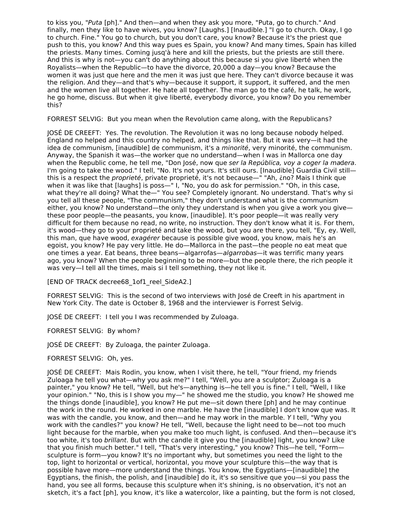to kiss you, "Puta [ph]." And then—and when they ask you more, "Puta, go to church." And finally, men they like to have wives, you know? [Laughs.] [Inaudible.] "I go to church. Okay, I go to church. Fine." You go to church, but you don't care, you know? Because it's the priest que push to this, you know? And this way pues es Spain, you know? And many times, Spain has killed the priests. Many times. Coming jusq'à here and kill the priests, but the priests are still there. And this is why is not—you can't do anything about this because si you give liberté when the Royalists—when the Republic—to have the divorce, 20,000 a day—you know? Because the women it was just que here and the men it was just que here. They can't divorce because it was the religion. And they—and that's why—because it support, it support, it suffered, and the men and the women live all together. He hate all together. The man go to the café, he talk, he work, he go home, discuss. But when it give liberté, everybody divorce, you know? Do you remember this?

FORREST SELVIG: But you mean when the Revolution came along, with the Republicans?

JOSÉ DE CREEFT: Yes. The revolution. The Revolution it was no long because nobody helped. England no helped and this country no helped, and things like that. But it was very—it had the idea de communism, [inaudible] de communism, it's a minorité, very minorité, the communism. Anyway, the Spanish it was—the worker que no understand—when I was in Mallorca one day when the Republic come, he tell me, "Don José, now que ser la República, voy a coger la madera. I'm going to take the wood." I tell, "No. It's not yours. It's still ours. [Inaudible] Guardia Civil still this is a respect the *proprieté*, private proprieté, it's not because—" "Ah, ¿no? Mais I think que when it was like that [laughs] is poss—" I, "No, you do ask for permission." "Oh, in this case, what they're all doing? What the—" You see? Completely ignorant. No understand. That's why si you tell all these people, "The communism," they don't understand what is the communism either, you know? No understand—the only they understand is when you give a work you give these poor people—the peasants, you know, [inaudible]. It's poor people—it was really very difficult for them because no read, no write, no instruction. They don't know what it is. For them, it's wood—they go to your proprieté and take the wood, but you are there, you tell, "Ey, ey. Well, this man, que have wood, exagérer because is possible give wood, you know, mais he's an egoist, you know? He pay very little. He do—Mallorca in the past—the people no eat meat que one times a year. Eat beans, three beans—algarrofas—algarrobas—it was terrific many years ago, you know? When the people beginning to be more—but the people there, the rich people it was very—I tell all the times, mais si I tell something, they not like it.

[END OF TRACK decree68\_1of1\_reel\_SideA2.]

FORREST SELVIG: This is the second of two interviews with José de Creeft in his apartment in New York City. The date is October 8, 1968 and the interviewer is Forrest Selvig.

JOSÉ DE CREEFT: I tell you I was recommended by Zuloaga.

FORREST SELVIG: By whom?

JOSÉ DE CREEFT: By Zuloaga, the painter Zuloaga.

FORREST SELVIG: Oh, yes.

JOSÉ DE CREEFT: Mais Rodin, you know, when I visit there, he tell, "Your friend, my friends Zuloaga he tell you what—why you ask me?" I tell, "Well, you are a sculptor; Zuloaga is a painter," you know? He tell, "Well, but he's—anything is—he tell you is fine." I tell, "Well, I like your opinion." "No, this is I show you my—" he showed me the studio, you know? He showed me the things donde [inaudible], you know? He put me—sit down there [ph] and he may continue the work in the round. He worked in one marble. He have the [inaudible] I don't know que was. It was with the candle, you know, and then—and he may work in the marble. Y I tell, "Why you work with the candles?" you know? He tell, "Well, because the light need to be—not too much light because for the marble, when you make too much light, is confused. And then—because it's too white, it's too brillant. But with the candle it give you the [inaudible] light, you know? Like that you finish much better." I tell, "That's very interesting," you know? This—he tell, "Form sculpture is form—you know? It's no important why, but sometimes you need the light to the top, light to horizontal or vertical, horizontal, you move your sculpture this—the way that is possible have more—more understand the things. You know, the Egyptians—[inaudible] the Egyptians, the finish, the polish, and [inaudible] do it, it's so sensitive que you—si you pass the hand, you see all forms, because this sculpture when it's shining, is no observation, it's not an sketch, it's a fact [ph], you know, it's like a watercolor, like a painting, but the form is not closed,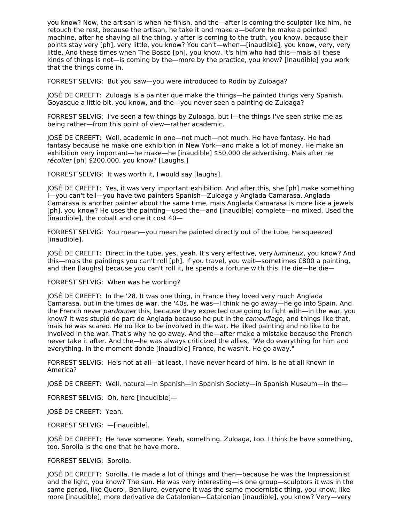you know? Now, the artisan is when he finish, and the—after is coming the sculptor like him, he retouch the rest, because the artisan, he take it and make a—before he make a pointed machine, after he shaving all the thing, y after is coming to the truth, you know, because their points stay very [ph], very little, you know? You can't—when—[inaudible], you know, very, very little. And these times when The Bosco [ph], you know, it's him who had this—mais all these kinds of things is not—is coming by the—more by the practice, you know? [Inaudible] you work that the things come in.

FORREST SELVIG: But you saw—you were introduced to Rodin by Zuloaga?

JOSÉ DE CREEFT: Zuloaga is a painter que make the things—he painted things very Spanish. Goyasque a little bit, you know, and the—you never seen a painting de Zuloaga?

FORREST SELVIG: I've seen a few things by Zuloaga, but I—the things I've seen strike me as being rather—from this point of view—rather academic.

JOSÉ DE CREEFT: Well, academic in one—not much—not much. He have fantasy. He had fantasy because he make one exhibition in New York—and make a lot of money. He make an exhibition very important—he make—he [inaudible] \$50,000 de advertising. Mais after he récolter [ph] \$200,000, you know? [Laughs.]

FORREST SELVIG: It was worth it, I would say [laughs].

JOSÉ DE CREEFT: Yes, it was very important exhibition. And after this, she [ph] make something I—you can't tell—you have two painters Spanish—Zuloaga y Anglada Camarasa. Anglada Camarasa is another painter about the same time, mais Anglada Camarasa is more like a jewels [ph], you know? He uses the painting—used the—and [inaudible] complete—no mixed. Used the [inaudible], the cobalt and one it cost 40—

FORREST SELVIG: You mean—you mean he painted directly out of the tube, he squeezed [inaudible].

JOSÉ DE CREEFT: Direct in the tube, yes, yeah. It's very effective, very lumineux, you know? And this—mais the paintings you can't roll [ph]. If you travel, you wait—sometimes £800 a painting, and then [laughs] because you can't roll it, he spends a fortune with this. He die—he die—

FORREST SELVIG: When was he working?

JOSÉ DE CREEFT: In the '28. It was one thing, in France they loved very much Anglada Camarasa, but in the times de war, the '40s, he was—I think he go away—he go into Spain. And the French never pardonner this, because they expected que going to fight with—in the war, you know? It was stupid de part de Anglada because he put in the *camouflage*, and things like that, mais he was scared. He no like to be involved in the war. He liked painting and no like to be involved in the war. That's why he go away. And the—after make a mistake because the French never take it after. And the—he was always criticized the allies, "We do everything for him and everything. In the moment donde [inaudible] France, he wasn't. He go away."

FORREST SELVIG: He's not at all—at least, I have never heard of him. Is he at all known in America?

JOSÉ DE CREEFT: Well, natural—in Spanish—in Spanish Society—in Spanish Museum—in the—

FORREST SELVIG: Oh, here [inaudible]—

JOSÉ DE CREEFT: Yeah.

FORREST SELVIG: —[inaudible].

JOSÉ DE CREEFT: He have someone. Yeah, something. Zuloaga, too. I think he have something, too. Sorolla is the one that he have more.

FORREST SELVIG: Sorolla.

JOSÉ DE CREEFT: Sorolla. He made a lot of things and then—because he was the Impressionist and the light, you know? The sun. He was very interesting—is one group—sculptors it was in the same period, like Querol, Benlliure, everyone it was the same modernistic thing, you know, like more [inaudible], more derivative de Catalonian—Catalonian [inaudible], you know? Very—very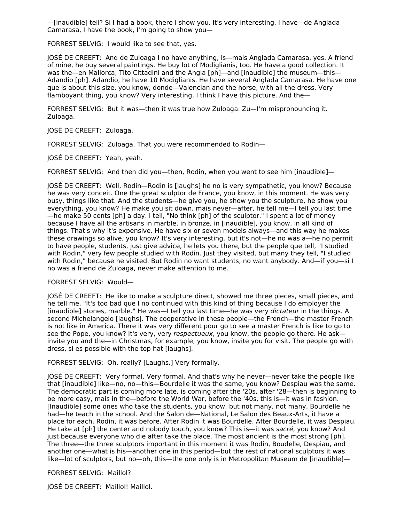—[inaudible] tell? Si I had a book, there I show you. It's very interesting. I have—de Anglada Camarasa, I have the book, I'm going to show you—

FORREST SELVIG: I would like to see that, yes.

JOSÉ DE CREEFT: And de Zuloaga I no have anything, is—mais Anglada Camarasa, yes. A friend of mine, he buy several paintings. He buy lot of Modiglianis, too. He have a good collection. It was the—en Mallorca, Tito Cittadini and the Angla [ph]—and [inaudible] the museum—this— Adandio [ph]. Adandio, he have 10 Modiglianis. He have several Anglada Camarasa. He have one que is about this size, you know, donde—Valencian and the horse, with all the dress. Very flamboyant thing, you know? Very interesting. I think I have this picture. And the—

FORREST SELVIG: But it was—then it was true how Zuloaga. Zu—I'm mispronouncing it. Zuloaga.

JOSÉ DE CREEFT: Zuloaga.

FORREST SELVIG: Zuloaga. That you were recommended to Rodin—

JOSÉ DE CREEFT: Yeah, yeah.

FORREST SELVIG: And then did you—then, Rodin, when you went to see him [inaudible]—

JOSÉ DE CREEFT: Well, Rodin—Rodin is [laughs] he no is very sympathetic, you know? Because he was very conceit. One the great sculptor de France, you know, in this moment. He was very busy, things like that. And the students—he give you, he show you the sculpture, he show you everything, you know? He make you sit down, mais never—after, he tell me—I tell you last time —he make 50 cents [ph] a day. I tell, "No think [ph] of the sculptor." I spent a lot of money because I have all the artisans in marble, in bronze, in [inaudible], you know, in all kind of things. That's why it's expensive. He have six or seven models always—and this way he makes these drawings so alive, you know? It's very interesting, but it's not—he no was a—he no permit to have people, students, just give advice, he lets you there, but the people que tell, "I studied with Rodin," very few people studied with Rodin. Just they visited, but many they tell, "I studied with Rodin," because he visited. But Rodin no want students, no want anybody. And—if you—si I no was a friend de Zuloaga, never make attention to me.

# FORREST SELVIG: Would—

JOSÉ DE CREEFT: He like to make a sculpture direct, showed me three pieces, small pieces, and he tell me, "It's too bad que I no continued with this kind of thing because I do employer the [inaudible] stones, marble." He was—I tell you last time—he was very dictateur in the things. A second Michelangelo [laughs]. The cooperative in these people—the French—the master French is not like in America. There it was very different pour go to see a master French is like to go to see the Pope, you know? It's very, very respectueux, you know, the people go there. He ask invite you and the—in Christmas, for example, you know, invite you for visit. The people go with dress, si es possible with the top hat [laughs].

FORREST SELVIG: Oh, really? [Laughs.] Very formally.

JOSÉ DE CREEFT: Very formal. Very formal. And that's why he never—never take the people like that [inaudible] like—no, no—this—Bourdelle it was the same, you know? Despiau was the same. The democratic part is coming more late, is coming after the '20s, after '28—then is beginning to be more easy, mais in the—before the World War, before the '40s, this is—it was in fashion. [Inaudible] some ones who take the students, you know, but not many, not many. Bourdelle he had—he teach in the school. And the Salon de—National, Le Salon des Beaux-Arts, it have a place for each. Rodin, it was before. After Rodin it was Bourdelle. After Bourdelle, it was Despiau. He take at [ph] the center and nobody touch, you know? This is—it was sacré, you know? And just because everyone who die after take the place. The most ancient is the most strong [ph]. The three—the three sculptors important in this moment it was Rodin, Boudelle, Despiau, and another one—what is his—another one in this period—but the rest of national sculptors it was like—lot of sculptors, but no—oh, this—the one only is in Metropolitan Museum de [inaudible]—

FORREST SELVIG: Maillol?

JOSÉ DE CREEFT: Maillol! Maillol.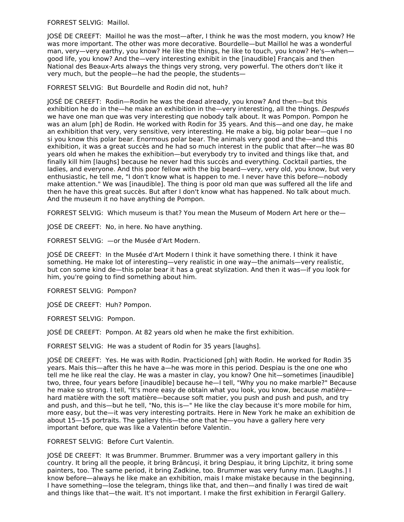FORREST SELVIG: Maillol.

JOSÉ DE CREEFT: Maillol he was the most—after, I think he was the most modern, you know? He was more important. The other was more decorative. Bourdelle—but Maillol he was a wonderful man, very—very earthy, you know? He like the things, he like to touch, you know? He's—when good life, you know? And the—very interesting exhibit in the [inaudible] Français and then National des Beaux-Arts always the things very strong, very powerful. The others don't like it very much, but the people—he had the people, the students—

FORREST SELVIG: But Bourdelle and Rodin did not, huh?

JOSÉ DE CREEFT: Rodin—Rodin he was the dead already, you know? And then—but this exhibition he do in the—he make an exhibition in the—very interesting, all the things. Después we have one man que was very interesting que nobody talk about. It was Pompon. Pompon he was an alum [ph] de Rodin. He worked with Rodin for 35 years. And this—and one day, he make an exhibition that very, very sensitive, very interesting. He make a big, big polar bear—que I no si you know this polar bear. Enormous polar bear. The animals very good and the—and this exhibition, it was a great succès and he had so much interest in the public that after—he was 80 years old when he makes the exhibition—but everybody try to invited and things like that, and finally kill him [laughs] because he never had this succès and everything. Cocktail parties, the ladies, and everyone. And this poor fellow with the big beard—very, very old, you know, but very enthusiastic, he tell me, "I don't know what is happen to me. I never have this before—nobody make attention." We was [inaudible]. The thing is poor old man que was suffered all the life and then he have this great succès. But after I don't know what has happened. No talk about much. And the museum it no have anything de Pompon.

FORREST SELVIG: Which museum is that? You mean the Museum of Modern Art here or the—

JOSÉ DE CREEFT: No, in here. No have anything.

FORREST SELVIG: —or the Musée d'Art Modern.

JOSÉ DE CREEFT: In the Musée d'Art Modern I think it have something there. I think it have something. He make lot of interesting—very realistic in one way—the animals—very realistic, but con some kind de—this polar bear it has a great stylization. And then it was—if you look for him, you're going to find something about him.

FORREST SELVIG: Pompon?

JOSÉ DE CREEFT: Huh? Pompon.

FORREST SELVIG: Pompon.

JOSÉ DE CREEFT: Pompon. At 82 years old when he make the first exhibition.

FORREST SELVIG: He was a student of Rodin for 35 years [laughs].

JOSÉ DE CREEFT: Yes. He was with Rodin. Practicioned [ph] with Rodin. He worked for Rodin 35 years. Mais this—after this he have a—he was more in this period. Despiau is the one one who tell me he like real the clay. He was a master in clay, you know? One hit—sometimes [inaudible] two, three, four years before [inaudible] because he—I tell, "Why you no make marble?" Because he make so strong. I tell, "It's more easy de obtain what you look, you know, because matièrehard matière with the soft matière—because soft matier, you push and push and push, and try and push, and this—but he tell, "No, this is—" He like the clay because it's more mobile for him, more easy, but the—it was very interesting portraits. Here in New York he make an exhibition de about 15—15 portraits. The gallery this—the one that he—you have a gallery here very important before, que was like a Valentin before Valentin.

FORREST SELVIG: Before Curt Valentin.

JOSÉ DE CREEFT: It was Brummer. Brummer. Brummer was a very important gallery in this country. It bring all the people, it bring Brâncuși, it bring Despiau, it bring Lipchitz, it bring some painters, too. The same period, it bring Zadkine, too. Brummer was very funny man. [Laughs.] I know before—always he like make an exhibition, mais I make mistake because in the beginning, I have something—lose the telegram, things like that, and then—and finally I was tired de wait and things like that—the wait. It's not important. I make the first exhibition in Ferargil Gallery.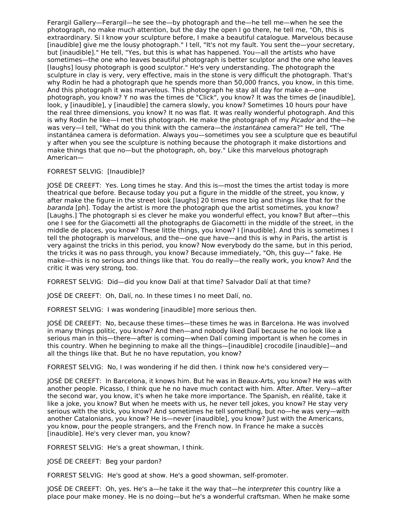Ferargil Gallery—Ferargil—he see the—by photograph and the—he tell me—when he see the photograph, no make much attention, but the day the open I go there, he tell me, "Oh, this is extraordinary. Si I know your sculpture before, I make a beautiful catalogue. Marvelous because [inaudible] give me the lousy photograph." I tell, "It's not my fault. You sent the—your secretary, but [inaudible]." He tell, "Yes, but this is what has happened. You—all the artists who have sometimes—the one who leaves beautiful photograph is better sculptor and the one who leaves [laughs] lousy photograph is good sculptor." He's very understanding. The photograph the sculpture in clay is very, very effective, mais in the stone is very difficult the photograph. That's why Rodin he had a photograph que he spends more than 50,000 francs, you know, in this time. And this photograph it was marvelous. This photograph he stay all day for make a—one photograph, you know? Y no was the times de "Click", you know? It was the times de [inaudible], look, y [inaudible], y [inaudible] the camera slowly, you know? Sometimes 10 hours pour have the real three dimensions, you know? It no was flat. It was really wonderful photograph. And this is why Rodin he like—I met this photograph. He make the photograph of my Picador and the—he was very--I tell, "What do you think with the camera-the *instantánea* camera?" He tell, "The instantánea camera is deformation. Always you—sometimes you see a sculpture que es beautiful y after when you see the sculpture is nothing because the photograph it make distortions and make things that que no—but the photograph, oh, boy." Like this marvelous photograph American—

## FORREST SELVIG: [Inaudible]?

JOSÉ DE CREEFT: Yes. Long times he stay. And this is—most the times the artist today is more theatrical que before. Because today you put a figure in the middle of the street, you know, y after make the figure in the street look [laughs] 20 times more big and things like that for the baranda [ph]. Today the artist is more the photograph que the artist sometimes, you know? [Laughs.] The photograph si es clever he make you wonderful effect, you know? But after—this one I see for the Giacometti all the photographs de Giacometti in the middle of the street, in the middle de places, you know? These little things, you know? I [inaudible]. And this is sometimes I tell the photograph is marvelous, and the—one que have—and this is why in Paris, the artist is very against the tricks in this period, you know? Now everybody do the same, but in this period, the tricks it was no pass through, you know? Because immediately, "Oh, this guy—" fake. He make—this is no serious and things like that. You do really—the really work, you know? And the critic it was very strong, too.

FORREST SELVIG: Did—did you know Dalí at that time? Salvador Dalí at that time?

JOSÉ DE CREEFT: Oh, Dalí, no. In these times I no meet Dalí, no.

FORREST SELVIG: I was wondering [inaudible] more serious then.

JOSÉ DE CREEFT: No, because these times—these times he was in Barcelona. He was involved in many things politic, you know? And then—and nobody liked Dalí because he no look like a serious man in this—there—after is coming—when Dalí coming important is when he comes in this country. When he beginning to make all the things—[inaudible] crocodile [inaudible]—and all the things like that. But he no have reputation, you know?

FORREST SELVIG: No, I was wondering if he did then. I think now he's considered very—

JOSÉ DE CREEFT: In Barcelona, it knows him. But he was in Beaux-Arts, you know? He was with another people. Picasso, I think que he no have much contact with him. After. After. Very—after the second war, you know, it's when he take more importance. The Spanish, en réalité, take it like a joke, you know? But when he meets with us, he never tell jokes, you know? He stay very serious with the stick, you know? And sometimes he tell something, but no—he was very—with another Catalonians, you know? He is—never [inaudible], you know? Just with the Americans, you know, pour the people strangers, and the French now. In France he make a succès [inaudible]. He's very clever man, you know?

FORREST SELVIG: He's a great showman, I think.

JOSÉ DE CREEFT: Beg your pardon?

FORREST SELVIG: He's good at show. He's a good showman, self-promoter.

JOSÉ DE CREEFT: Oh, yes. He's a—he take it the way that—he interpreter this country like a place pour make money. He is no doing—but he's a wonderful craftsman. When he make some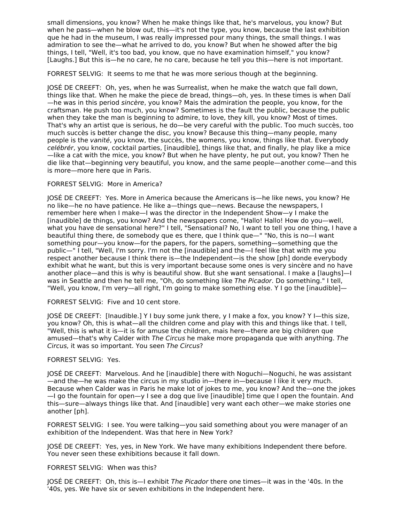small dimensions, you know? When he make things like that, he's marvelous, you know? But when he pass—when he blow out, this—it's not the type, you know, because the last exhibition que he had in the museum, I was really impressed pour many things, the small things. I was admiration to see the—what he arrived to do, you know? But when he showed after the big things, I tell, "Well, it's too bad, you know, que no have examination himself," you know? [Laughs.] But this is—he no care, he no care, because he tell you this—here is not important.

FORREST SELVIG: It seems to me that he was more serious though at the beginning.

JOSÉ DE CREEFT: Oh, yes, when he was Surrealist, when he make the watch que fall down, things like that. When he make the piece de bread, things—oh, yes. In these times is when Dalí —he was in this period sincère, you know? Mais the admiration the people, you know, for the craftsman. He push too much, you know? Sometimes is the fault the public, because the public when they take the man is beginning to admire, to love, they kill, you know? Most of times. That's why an artist que is serious, he do—be very careful with the public. Too much succès, too much succès is better change the disc, you know? Because this thing—many people, many people is the vanité, you know, the succès, the womens, you know, things like that. Everybody celébrér, you know, cocktail parties, [inaudible], things like that, and finally, he play like a mice —like a cat with the mice, you know? But when he have plenty, he put out, you know? Then he die like that—beginning very beautiful, you know, and the same people—another come—and this is more—more here que in Paris.

#### FORREST SELVIG: More in America?

JOSÉ DE CREEFT: Yes. More in America because the Americans is—he like news, you know? He no like—he no have patience. He like a—things que—news. Because the newspapers, I remember here when I make—I was the director in the Independent Show—y I make the [inaudible] de things, you know? And the newspapers come, "Hallo! Hallo! How do you—well, what you have de sensational here?" I tell, "Sensational? No, I want to tell you one thing, I have a beautiful thing there, de somebody que es there, que I think que—" "No, this is no—I want something pour—you know—for the papers, for the papers, something—something que the public—" I tell, "Well, I'm sorry. I'm not the [inaudible] and the—I feel like that with me you respect another because I think there is—the Independent—is the show [ph] donde everybody exhibit what he want, but this is very important because some ones is very sincère and no have another place—and this is why is beautiful show. But she want sensational. I make a [laughs]—I was in Seattle and then he tell me, "Oh, do something like The Picador. Do something." I tell, "Well, you know, I'm very—all right, I'm going to make something else. Y I go the [inaudible]—

## FORREST SELVIG: Five and 10 cent store.

JOSÉ DE CREEFT: [Inaudible.] Y I buy some junk there, y I make a fox, you know? Y I—this size, you know? Oh, this is what—all the children come and play with this and things like that. I tell, "Well, this is what it is—it is for amuse the children, mais here—there are big children que amused—that's why Calder with The Circus he make more propaganda que with anything. The Circus, it was so important. You seen The Circus?

## FORREST SELVIG: Yes.

JOSÉ DE CREEFT: Marvelous. And he [inaudible] there with Noguchi—Noguchi, he was assistant —and the—he was make the circus in my studio in—there in—because I like it very much. Because when Calder was in Paris he make lot of jokes to me, you know? And the—one the jokes —I go the fountain for open—y I see a dog que live [inaudible] time que I open the fountain. And this—sure—always things like that. And [inaudible] very want each other—we make stories one another [ph].

FORREST SELVIG: I see. You were talking—you said something about you were manager of an exhibition of the Independent. Was that here in New York?

JOSÉ DE CREEFT: Yes, yes, in New York. We have many exhibitions Independent there before. You never seen these exhibitions because it fall down.

## FORREST SELVIG: When was this?

JOSÉ DE CREEFT: Oh, this is—I exhibit The Picador there one times—it was in the '40s. In the '40s, yes. We have six or seven exhibitions in the Independent here.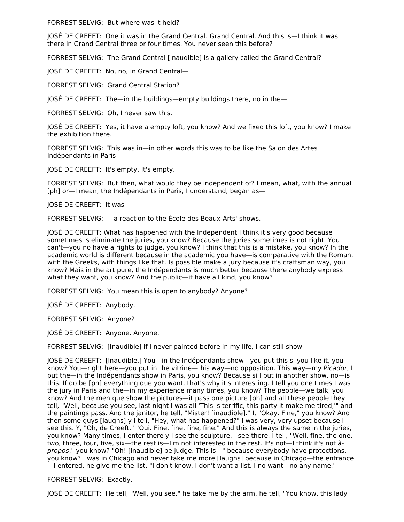FORREST SELVIG: But where was it held?

JOSÉ DE CREEFT: One it was in the Grand Central. Grand Central. And this is—I think it was there in Grand Central three or four times. You never seen this before?

FORREST SELVIG: The Grand Central [inaudible] is a gallery called the Grand Central?

JOSÉ DE CREEFT: No, no, in Grand Central—

FORREST SELVIG: Grand Central Station?

JOSÉ DE CREEFT: The—in the buildings—empty buildings there, no in the—

FORREST SELVIG: Oh, I never saw this.

JOSÉ DE CREEFT: Yes, it have a empty loft, you know? And we fixed this loft, you know? I make the exhibition there.

FORREST SELVIG: This was in—in other words this was to be like the Salon des Artes Indépendants in Paris—

JOSÉ DE CREEFT: It's empty. It's empty.

FORREST SELVIG: But then, what would they be independent of? I mean, what, with the annual [ph] or—I mean, the Indépendants in Paris, I understand, began as—

JOSÉ DE CREEFT: It was—

FORREST SELVIG: —a reaction to the École des Beaux-Arts' shows.

JOSÉ DE CREEFT: What has happened with the Independent I think it's very good because sometimes is eliminate the juries, you know? Because the juries sometimes is not right. You can't—you no have a rights to judge, you know? I think that this is a mistake, you know? In the academic world is different because in the academic you have—is comparative with the Roman, with the Greeks, with things like that. Is possible make a jury because it's craftsman way, you know? Mais in the art pure, the Indépendants is much better because there anybody express what they want, you know? And the public—it have all kind, you know?

FORREST SELVIG: You mean this is open to anybody? Anyone?

JOSÉ DE CREEFT: Anybody.

FORREST SELVIG: Anyone?

JOSÉ DE CREEFT: Anyone. Anyone.

FORREST SELVIG: [Inaudible] if I never painted before in my life, I can still show—

JOSÉ DE CREEFT: [Inaudible.] You—in the Indépendants show—you put this si you like it, you know? You—right here—you put in the vitrine—this way—no opposition. This way—my Picador, I put the—in the Indépendants show in Paris, you know? Because si I put in another show, no—is this. If do be [ph] everything que you want, that's why it's interesting. I tell you one times I was the jury in Paris and the—in my experience many times, you know? The people—we talk, you know? And the men que show the pictures—it pass one picture [ph] and all these people they tell, "Well, because you see, last night I was all 'This is terrific, this party it make me tired,'" and the paintings pass. And the janitor, he tell, "Mister! [inaudible]." I, "Okay. Fine," you know? And then some guys [laughs] y I tell, "Hey, what has happened?" I was very, very upset because I see this. Y, "Oh, de Creeft." "Oui. Fine, fine, fine, fine." And this is always the same in the juries, you know? Many times, I enter there y I see the sculpture. I see there. I tell, "Well, fine, the one, two, three, four, five, six—the rest is—I'm not interested in the rest. It's not—I think it's not àpropos," you know? "Oh! [inaudible] be judge. This is—" because everybody have protections, you know? I was in Chicago and never take me more [laughs] because in Chicago—the entrance —I entered, he give me the list. "I don't know, I don't want a list. I no want—no any name."

FORREST SELVIG: Exactly.

JOSÉ DE CREEFT: He tell, "Well, you see," he take me by the arm, he tell, "You know, this lady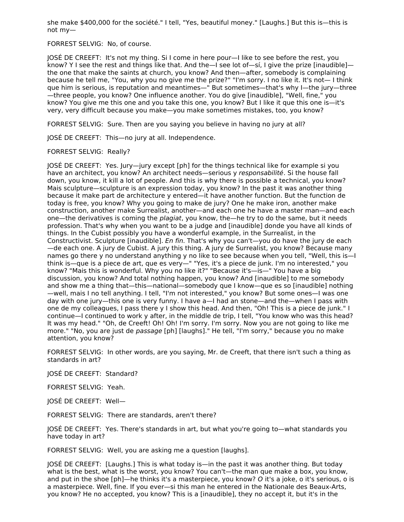she make \$400,000 for the société." I tell, "Yes, beautiful money." [Laughs.] But this is—this is not my—

FORREST SELVIG: No, of course.

JOSÉ DE CREEFT: It's not my thing. Si I come in here pour—I like to see before the rest, you know? Y I see the rest and things like that. And the—I see lot of—sí, I give the prize [inaudible] the one that make the saints at church, you know? And then—after, somebody is complaining because he tell me, "You, why you no give me the prize?" "I'm sorry. I no like it. It's not— I think que him is serious, is reputation and meantimes—" But sometimes—that's why I—the jury—three —three people, you know? One influence another. You do give [inaudible], "Well, fine," you know? You give me this one and you take this one, you know? But I like it que this one is—it's very, very difficult because you make—you make sometimes mistakes, too, you know?

FORREST SELVIG: Sure. Then are you saying you believe in having no jury at all?

JOSÉ DE CREEFT: This—no jury at all. Independence.

#### FORREST SELVIG: Really?

JOSÉ DE CREEFT: Yes. Jury—jury except [ph] for the things technical like for example si you have an architect, you know? An architect needs—serious y responsabilité. Si the house fall down, you know, it kill a lot of people. And this is why there is possible a technical, you know? Mais sculpture—sculpture is an expression today, you know? In the past it was another thing because it make part de architecture y entered—it have another function. But the function de today is free, you know? Why you going to make de jury? One he make iron, another make construction, another make Surrealist, another—and each one he have a master man—and each one—the derivatives is coming the plagiat, you know, the—he try to do the same, but it needs profession. That's why when you want to be a judge and [inaudible] donde you have all kinds of things. In the Cubist possibly you have a wonderful example, in the Surrealist, in the Constructivist. Sculpture [inaudible]. En fin. That's why you can't—you do have the jury de each —de each one. A jury de Cubist. A jury this thing. A jury de Surrealist, you know? Because many names go there y no understand anything y no like to see because when you tell, "Well, this is—I think is—que is a piece de art, que es very—" "Yes, it's a piece de junk. I'm no interested," you know? "Mais this is wonderful. Why you no like it?" "Because it's—is—" You have a big discussion, you know? And total nothing happen, you know? And [inaudible] to me somebody and show me a thing that—this—national—somebody que I know—que es so [inaudible] nothing —well, mais I no tell anything. I tell, "I'm not interested," you know? But some ones—I was one day with one jury—this one is very funny. I have a—I had an stone—and the—when I pass with one de my colleagues, I pass there y I show this head. And then, "Oh! This is a piece de junk." I continue—I continued to work y after, in the middle de trip, I tell, "You know who was this head? It was my head." "Oh, de Creeft! Oh! Oh! I'm sorry. I'm sorry. Now you are not going to like me more." "No, you are just de passage [ph] [laughs]." He tell, "I'm sorry," because you no make attention, you know?

FORREST SELVIG: In other words, are you saying, Mr. de Creeft, that there isn't such a thing as standards in art?

JOSÉ DE CREEFT: Standard?

FORREST SELVIG: Yeah.

JOSÉ DE CREEFT: Well—

FORREST SELVIG: There are standards, aren't there?

JOSÉ DE CREEFT: Yes. There's standards in art, but what you're going to—what standards you have today in art?

FORREST SELVIG: Well, you are asking me a question [laughs].

JOSÉ DE CREEFT: [Laughs.] This is what today is—in the past it was another thing. But today what is the best, what is the worst, you know? You can't—the man que make a box, you know, and put in the shoe [ph]—he thinks it's a masterpiece, you know? O it's a joke, o it's serious, o is a masterpiece. Well, fine. If you ever—si this man he entered in the Nationale des Beaux-Arts, you know? He no accepted, you know? This is a [inaudible], they no accept it, but it's in the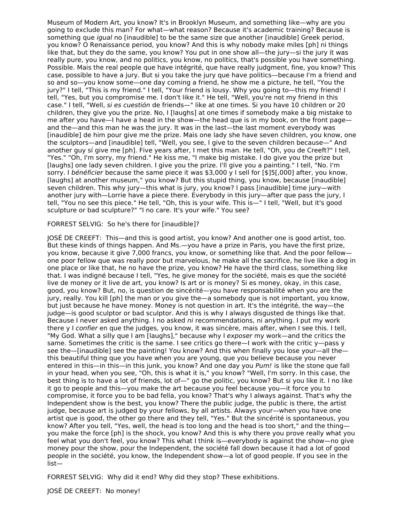Museum of Modern Art, you know? It's in Brooklyn Museum, and something like—why are you going to exclude this man? For what—what reason? Because it's academic training? Because is something que *iqual* no [inaudible] to be the same size que another [inaudible] Greek period, you know? O Renaissance period, you know? And this is why nobody make miles [ph] ni things like that, but they do the same, you know? You put in one show all—the jury—si the jury it was really pure, you know, and no politics, you know, no politics, that's possible you have something. Possible. Mais the real people que have intégrité, que have really judgment, fine, you know? This case, possible to have a jury. But si you take the jury que have politics—because I'm a friend and so and so—you know some—one day coming a friend, he show me a picture, he tell, "You the jury?" I tell, "This is my friend." I tell, "Your friend is lousy. Why you going to—this my friend! I tell, "Yes, but you compromise me. I don't like it." He tell, "Well, you're not my friend in this case." I tell, "Well, si es cuestión de friends—" like at one times. Si you have 10 children or 20 children, they give you the prize. No, I [laughs] at one times if somebody make a big mistake to me after you have—I have a head in the show—the head que is in my book, on the front page and the—and this man he was the jury. It was in the last—the last moment everybody was [inaudible] de him pour give me the prize. Mais one lady she have seven children, you know, one the sculptors—and [inaudible] tell, "Well, you see, I give to the seven children because—" And another guy sí give me [ph]. Five years after, I met this man. He tell, "Oh, you de Creeft?" I tell, "Yes." "Oh, I'm sorry, my friend." He kiss me, "I make big mistake. I do give you the prize but [laughs] one lady seven children. I give you the prize. I'll give you a painting." I tell, "No. I'm sorry. I bénéficier because the same piece it was \$3,000 y I sell for [\$]5[,000] after, you know, [laughs] at another museum," you know? But this stupid thing, you know, because [inaudible] seven children. This why jury—this what is jury, you know? I pass [inaudible] time jury—with another jury with—Lorrie have a piece there. Everybody in this jury—after que pass the jury, I tell, "You no see this piece." He tell, "Oh, this is your wife. This is—" I tell, "Well, but it's good sculpture or bad sculpture?" "I no care. It's your wife." You see?

#### FORREST SELVIG: So he's there for [inaudible]?

JOSÉ DE CREEFT: This—and this is good artist, you know? And another one is good artist, too. But these kinds of things happen. And Ms.—you have a prize in Paris, you have the first prize, you know, because it give 7,000 francs, you know, or something like that. And the poor fellow one poor fellow que was really poor but marvelous, he make all the sacrifice, he live like a dog in one place or like that, he no have the prize, you know? He have the third class, something like that. I was indigné because I tell, "Yes, he give money for the société, mais es que the société live de money or it live de art, you know? Is art or is money? Si es money, okay, in this case, good, you know? But, no, is question de sincérité—you have responsabilité when you are the jury, really. You kill [ph] the man or you give the—a somebody que is not important, you know, but just because he have money. Money is not question in art. It's the intégrité, the way—the judge—is good sculptor or bad sculptor. And this is why I always disgusted de things like that. Because I never asked anything. I no asked ni recommendations, ni anything. I put my work there y I confier en que the judges, you know, it was sincère, mais after, when I see this. I tell, "My God. What a silly que I am [laughs]," because why I exposer my work—and the critics the same. Sometimes the critic is the same. I see critics go there—I work with the critic y—pass y see the—[inaudible] see the painting! You know? And this when finally you lose your—all the this beautiful thing que you have when you are young, que you believe because you never entered in this—in this—in this junk, you know? And one day you Pum! is like the stone que fall in your head, when you see, "Oh, this is what it is," you know? "Well, I'm sorry. In this case, the best thing is to have a lot of friends, lot of—" go the politic, you know? But si you like it. I no like it go to people and this—you make the art because you feel because you—it force you to compromise, it force you to be bad fella, you know? That's why I always against. That's why the Independent show is the best, you know? There the public judge, the public is there, the artist judge, because art is judged by your fellows, by all artists. Always your—when you have one artist que is good, the other go there and they tell, "Yes." But the sincérité is spontaneous, you know? After you tell, "Yes, well, the head is too long and the head is too short," and the thing you make the force [ph] is the shock, you know? And this is why there you prove really what you feel what you don't feel, you know? This what I think is—everybody is against the show—no give money pour the show, pour the Independent, the société fall down because it had a lot of good people in the société, you know, the Independent show—a lot of good people. If you see in the list—

FORREST SELVIG: Why did it end? Why did they stop? These exhibitions.

JOSÉ DE CREEFT: No money!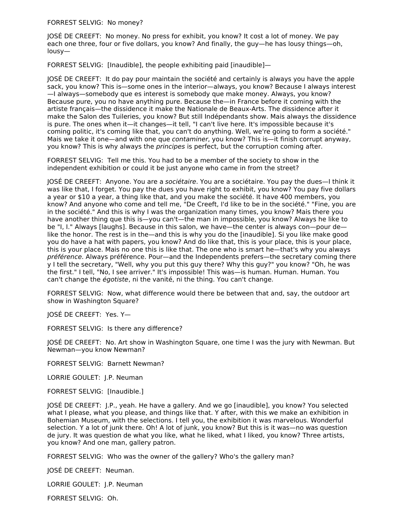FORREST SELVIG: No money?

JOSÉ DE CREEFT: No money. No press for exhibit, you know? It cost a lot of money. We pay each one three, four or five dollars, you know? And finally, the guy—he has lousy things—oh, lousy—

FORREST SELVIG: [Inaudible], the people exhibiting paid [inaudible]—

JOSÉ DE CREEFT: It do pay pour maintain the société and certainly is always you have the apple sack, you know? This is—some ones in the interior—always, you know? Because I always interest —I always—somebody que es interest is somebody que make money. Always, you know? Because pure, you no have anything pure. Because the—in France before it coming with the artiste français—the dissidence it make the Nationale de Beaux-Arts. The dissidence after it make the Salon des Tuileries, you know? But still Indépendants show. Mais always the dissidence is pure. The ones when it—it changes—it tell, "I can't live here. It's impossible because it's coming politic, it's coming like that, you can't do anything. Well, we're going to form a société." Mais we take it one—and with one que *contaminer*, you know? This is—it finish corrupt anyway, you know? This is why always the *principes* is perfect, but the corruption coming after.

FORREST SELVIG: Tell me this. You had to be a member of the society to show in the independent exhibition or could it be just anyone who came in from the street?

JOSÉ DE CREEFT: Anyone. You are a sociétaire. You are a sociétaire. You pay the dues—I think it was like that, I forget. You pay the dues you have right to exhibit, you know? You pay five dollars a year or \$10 a year, a thing like that, and you make the société. It have 400 members, you know? And anyone who come and tell me, "De Creeft, I'd like to be in the société." "Fine, you are in the société." And this is why I was the organization many times, you know? Mais there you have another thing que this is—you can't—the man in impossible, you know? Always he like to be "I, I." Always [laughs]. Because in this salon, we have—the center is always con—pour de like the honor. The rest is in the—and this is why you do the [inaudible]. Si you like make good you do have a hat with papers, you know? And do like that, this is your place, this is your place, this is your place. Mais no one this is like that. The one who is smart he—that's why you always préférence. Always préférence. Pour—and the Independents prefers—the secretary coming there y I tell the secretary, "Well, why you put this guy there? Why this guy?" you know? "Oh, he was the first." I tell, "No, I see arriver." It's impossible! This was—is human. Human. Human. You can't change the égotiste, ni the vanité, ni the thing. You can't change.

FORREST SELVIG: Now, what difference would there be between that and, say, the outdoor art show in Washington Square?

JOSÉ DE CREEFT: Yes. Y—

FORREST SELVIG: Is there any difference?

JOSÉ DE CREEFT: No. Art show in Washington Square, one time I was the jury with Newman. But Newman—you know Newman?

FORREST SELVIG: Barnett Newman?

LORRIE GOULET: J.P. Neuman

FORREST SELVIG: [Inaudible.]

JOSÉ DE CREEFT: J.P., yeah. He have a gallery. And we go [inaudible], you know? You selected what I please, what you please, and things like that. Y after, with this we make an exhibition in Bohemian Museum, with the selections. I tell you, the exhibition it was marvelous. Wonderful selection. Y a lot of junk there. Oh! A lot of junk, you know? But this is it was—no was question de jury. It was question de what you like, what he liked, what I liked, you know? Three artists, you know? And one man, gallery patron.

FORREST SELVIG: Who was the owner of the gallery? Who's the gallery man?

JOSÉ DE CREEFT: Neuman.

LORRIE GOULET: J.P. Neuman

FORREST SELVIG: Oh.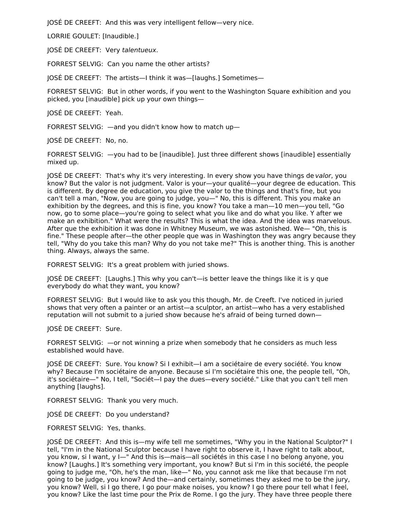JOSÉ DE CREEFT: And this was very intelligent fellow—very nice.

LORRIE GOULET: [Inaudible.]

JOSÉ DE CREEFT: Very talentueux.

FORREST SELVIG: Can you name the other artists?

JOSÉ DE CREEFT: The artists—I think it was—[laughs.] Sometimes—

FORREST SELVIG: But in other words, if you went to the Washington Square exhibition and you picked, you [inaudible] pick up your own things—

JOSÉ DE CREEFT: Yeah.

FORREST SELVIG: —and you didn't know how to match up—

JOSÉ DE CREEFT: No, no.

FORREST SELVIG: —you had to be [inaudible]. Just three different shows [inaudible] essentially mixed up.

JOSÉ DE CREEFT: That's why it's very interesting. In every show you have things de valor, you know? But the valor is not judgment. Valor is your—your qualité—your degree de education. This is different. By degree de education, you give the valor to the things and that's fine, but you can't tell a man, "Now, you are going to judge, you—" No, this is different. This you make an exhibition by the degrees, and this is fine, you know? You take a man—10 men—you tell, "Go now, go to some place—you're going to select what you like and do what you like. Y after we make an exhibition." What were the results? This is what the idea. And the idea was marvelous. After que the exhibition it was done in Whitney Museum, we was astonished. We— "Oh, this is fine." These people after—the other people que was in Washington they was angry because they tell, "Why do you take this man? Why do you not take me?" This is another thing. This is another thing. Always, always the same.

FORREST SELVIG: It's a great problem with juried shows.

JOSÉ DE CREEFT: [Laughs.] This why you can't—is better leave the things like it is y que everybody do what they want, you know?

FORREST SELVIG: But I would like to ask you this though, Mr. de Creeft. I've noticed in juried shows that very often a painter or an artist—a sculptor, an artist—who has a very established reputation will not submit to a juried show because he's afraid of being turned down—

JOSÉ DE CREEFT: Sure.

FORREST SELVIG: —or not winning a prize when somebody that he considers as much less established would have.

JOSÉ DE CREEFT: Sure. You know? Si I exhibit—I am a sociétaire de every société. You know why? Because I'm sociétaire de anyone. Because si I'm sociétaire this one, the people tell, "Oh, it's sociétaire—" No, I tell, "Sociét—I pay the dues—every société." Like that you can't tell men anything [laughs].

FORREST SELVIG: Thank you very much.

JOSÉ DE CREEFT: Do you understand?

FORREST SELVIG: Yes, thanks.

JOSÉ DE CREEFT: And this is—my wife tell me sometimes, "Why you in the National Sculptor?" I tell, "I'm in the National Sculptor because I have right to observe it, I have right to talk about, you know, si I want, y I—" And this is—mais—all sociétés in this case I no belong anyone, you know? [Laughs.] It's something very important, you know? But si I'm in this société, the people going to judge me, "Oh, he's the man, like—" No, you cannot ask me like that because I'm not going to be judge, you know? And the—and certainly, sometimes they asked me to be the jury, you know? Well, si I go there, I go pour make noises, you know? I go there pour tell what I feel, you know? Like the last time pour the Prix de Rome. I go the jury. They have three people there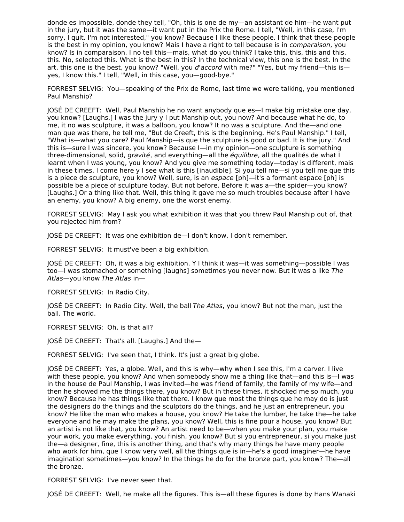donde es impossible, donde they tell, "Oh, this is one de my—an assistant de him—he want put in the jury, but it was the same—it want put in the Prix the Rome. I tell, "Well, in this case, I'm sorry, I quit. I'm not interested," you know? Because I like these people. I think that these people is the best in my opinion, you know? Mais I have a right to tell because is in *comparaison*, you know? Is in comparaison. I no tell this—mais, what do you think? I take this, this, this and this, this. No, selected this. What is the best in this? In the technical view, this one is the best. In the art, this one is the best, you know? "Well, you d'accord with me?" "Yes, but my friend—this is yes, I know this." I tell, "Well, in this case, you—good-bye."

FORREST SELVIG: You—speaking of the Prix de Rome, last time we were talking, you mentioned Paul Manship?

JOSÉ DE CREEFT: Well, Paul Manship he no want anybody que es—I make big mistake one day, you know? [Laughs.] I was the jury y I put Manship out, you now? And because what he do, to me, it no was sculpture, it was a balloon, you know? It no was a sculpture. And the—and one man que was there, he tell me, "But de Creeft, this is the beginning. He's Paul Manship." I tell, "What is—what you care? Paul Manship—is que the sculpture is good or bad. It is the jury." And this is—sure I was sincere, you know? Because I—in my opinion—one sculpture is something three-dimensional, solid, gravité, and everything-all the équilibre, all the qualités de what I learnt when I was young, you know? And you give me something today—today is different, mais in these times, I come here y I see what is this [inaudible]. Si you tell me—si you tell me que this is a piece de sculpture, you know? Well, sure, is an espace [ph]—it's a formant espace [ph] is possible be a piece of sculpture today. But not before. Before it was a—the spider—you know? [Laughs.] Or a thing like that. Well, this thing it gave me so much troubles because after I have an enemy, you know? A big enemy, one the worst enemy.

FORREST SELVIG: May I ask you what exhibition it was that you threw Paul Manship out of, that you rejected him from?

JOSÉ DE CREEFT: It was one exhibition de—I don't know, I don't remember.

FORREST SELVIG: It must've been a big exhibition.

JOSÉ DE CREEFT: Oh, it was a big exhibition. Y I think it was—it was something—possible I was too—I was stomached or something [laughs] sometimes you never now. But it was a like The Atlas—you know The Atlas in—

FORREST SELVIG: In Radio City.

JOSÉ DE CREEFT: In Radio City. Well, the ball The Atlas, you know? But not the man, just the ball. The world.

FORREST SELVIG: Oh, is that all?

JOSÉ DE CREEFT: That's all. [Laughs.] And the—

FORREST SELVIG: I've seen that, I think. It's just a great big globe.

JOSÉ DE CREEFT: Yes, a globe. Well, and this is why—why when I see this, I'm a carver. I live with these people, you know? And when somebody show me a thing like that—and this is—I was in the house de Paul Manship, I was invited—he was friend of family, the family of my wife—and then he showed me the things there, you know? But in these times, it shocked me so much, you know? Because he has things like that there. I know que most the things que he may do is just the designers do the things and the sculptors do the things, and he just an entrepreneur, you know? He like the man who makes a house, you know? He take the lumber, he take the—he take everyone and he may make the plans, you know? Well, this is fine pour a house, you know? But an artist is not like that, you know? An artist need to be—when you make your plan, you make your work, you make everything, you finish, you know? But si you entrepreneur, si you make just the—a designer, fine, this is another thing, and that's why many things he have many people who work for him, que I know very well, all the things que is in—he's a good imaginer—he have imagination sometimes—you know? In the things he do for the bronze part, you know? The—all the bronze.

FORREST SELVIG: I've never seen that.

JOSÉ DE CREEFT: Well, he make all the figures. This is—all these figures is done by Hans Wanaki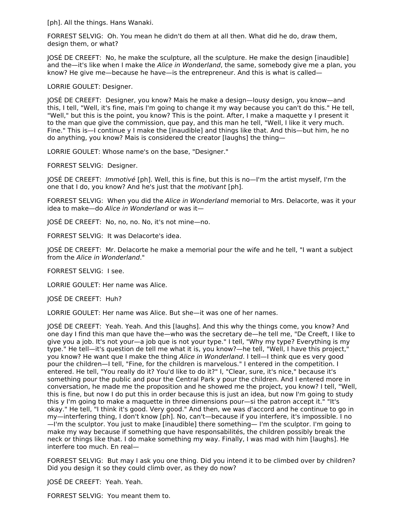[ph]. All the things. Hans Wanaki.

FORREST SELVIG: Oh. You mean he didn't do them at all then. What did he do, draw them, design them, or what?

JOSÉ DE CREEFT: No, he make the sculpture, all the sculpture. He make the design [inaudible] and the—it's like when I make the Alice in Wonderland, the same, somebody give me a plan, you know? He give me—because he have—is the entrepreneur. And this is what is called—

LORRIE GOULET: Designer.

JOSÉ DE CREEFT: Designer, you know? Mais he make a design—lousy design, you know—and this, I tell, "Well, it's fine, mais I'm going to change it my way because you can't do this." He tell, "Well," but this is the point, you know? This is the point. After, I make a maquette y I present it to the man que give the commission, que pay, and this man he tell, "Well, I like it very much. Fine." This is—I continue y I make the [inaudible] and things like that. And this—but him, he no do anything, you know? Mais is considered the creator [laughs] the thing—

LORRIE GOULET: Whose name's on the base, "Designer."

FORREST SELVIG: Designer.

JOSÉ DE CREEFT: Immotivé [ph]. Well, this is fine, but this is no—I'm the artist myself, I'm the one that I do, you know? And he's just that the motivant [ph].

FORREST SELVIG: When you did the Alice in Wonderland memorial to Mrs. Delacorte, was it your idea to make—do Alice in Wonderland or was it—

JOSÉ DE CREEFT: No, no, no. No, it's not mine—no.

FORREST SELVIG: It was Delacorte's idea.

JOSÉ DE CREEFT: Mr. Delacorte he make a memorial pour the wife and he tell, "I want a subject from the Alice in Wonderland."

FORREST SELVIG: I see.

LORRIE GOULET: Her name was Alice.

JOSÉ DE CREEFT: Huh?

LORRIE GOULET: Her name was Alice. But she—it was one of her names.

JOSÉ DE CREEFT: Yeah. Yeah. And this [laughs]. And this why the things come, you know? And one day I find this man que have the—who was the secretary de—he tell me, "De Creeft, I like to give you a job. It's not your—a job que is not your type." I tell, "Why my type? Everything is my type." He tell—it's question de tell me what it is, you know?—he tell, "Well, I have this project," you know? He want que I make the thing Alice in Wonderland. I tell—I think que es very good pour the children—I tell, "Fine, for the children is marvelous." I entered in the competition. I entered. He tell, "You really do it? You'd like to do it?" I, "Clear, sure, it's nice," because it's something pour the public and pour the Central Park y pour the children. And I entered more in conversation, he made me the proposition and he showed me the project, you know? I tell, "Well, this is fine, but now I do put this in order because this is just an idea, but now I'm going to study this y I'm going to make a maquette in three dimensions pour—si the patron accept it." "It's okay." He tell, "I think it's good. Very good." And then, we was d'accord and he continue to go in my—interfering thing, I don't know [ph]. No, can't—because if you interfere, it's impossible. I no —I'm the sculptor. You just to make [inaudible] there something— I'm the sculptor. I'm going to make my way because if something que have responsabilités, the children possibly break the neck or things like that. I do make something my way. Finally, I was mad with him [laughs]. He interfere too much. En real—

FORREST SELVIG: But may I ask you one thing. Did you intend it to be climbed over by children? Did you design it so they could climb over, as they do now?

JOSÉ DE CREEFT: Yeah. Yeah.

FORREST SELVIG: You meant them to.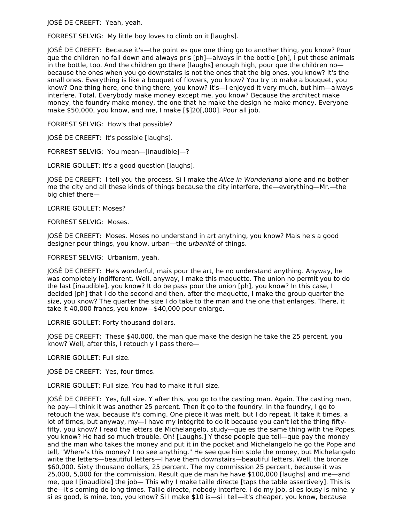JOSÉ DE CREEFT: Yeah, yeah.

FORREST SELVIG: My little boy loves to climb on it [laughs].

JOSÉ DE CREEFT: Because it's—the point es que one thing go to another thing, you know? Pour que the children no fall down and always pris [ph]—always in the bottle [ph], I put these animals in the bottle, too. And the children go there [laughs] enough high, pour que the children no because the ones when you go downstairs is not the ones that the big ones, you know? It's the small ones. Everything is like a bouquet of flowers, you know? You try to make a bouquet, you know? One thing here, one thing there, you know? It's—I enjoyed it very much, but him—always interfere. Total. Everybody make money except me, you know? Because the architect make money, the foundry make money, the one that he make the design he make money. Everyone make \$50,000, you know, and me, I make [\$]20[,000]. Pour all job.

FORREST SELVIG: How's that possible?

JOSÉ DE CREEFT: It's possible [laughs].

FORREST SELVIG: You mean—[inaudible]—?

LORRIE GOULET: It's a good question [laughs].

JOSÉ DE CREEFT: I tell you the process. Si I make the *Alice in Wonderland* alone and no bother me the city and all these kinds of things because the city interfere, the—everything—Mr.—the big chief there—

LORRIE GOULET: Moses?

FORREST SELVIG: Moses.

JOSÉ DE CREEFT: Moses. Moses no understand in art anything, you know? Mais he's a good designer pour things, you know, urban—the urbanité of things.

FORREST SELVIG: Urbanism, yeah.

JOSÉ DE CREEFT: He's wonderful, mais pour the art, he no understand anything. Anyway, he was completely indifferent. Well, anyway, I make this maquette. The union no permit you to do the last [inaudible], you know? It do be pass pour the union [ph], you know? In this case, I decided [ph] that I do the second and then, after the maquette, I make the group quarter the size, you know? The quarter the size I do take to the man and the one that enlarges. There, it take it 40,000 francs, you know—\$40,000 pour enlarge.

LORRIE GOULET: Forty thousand dollars.

JOSÉ DE CREEFT: These \$40,000, the man que make the design he take the 25 percent, you know? Well, after this, I retouch y I pass there—

LORRIE GOULET: Full size.

JOSÉ DE CREEFT: Yes, four times.

LORRIE GOULET: Full size. You had to make it full size.

JOSÉ DE CREEFT: Yes, full size. Y after this, you go to the casting man. Again. The casting man, he pay—I think it was another 25 percent. Then it go to the foundry. In the foundry, I go to retouch the wax, because it's coming. One piece it was melt, but I do repeat. It take it times, a lot of times, but anyway, my—I have my intégrité to do it because you can't let the thing fiftyfifty, you know? I read the letters de Michelangelo, study—que es the same thing with the Popes, you know? He had so much trouble. Oh! [Laughs.] Y these people que tell—que pay the money and the man who takes the money and put it in the pocket and Michelangelo he go the Pope and tell, "Where's this money? I no see anything." He see que him stole the money, but Michelangelo write the letters—beautiful letters—I have them downstairs—beautiful letters. Well, the bronze \$60,000. Sixty thousand dollars, 25 percent. The my commission 25 percent, because it was 25,000, 5,000 for the commission. Result que de man he have \$100,000 [laughs] and me—and me, que I [inaudible] the job— This why I make taille directe [taps the table assertively]. This is the—it's coming de long times. Taille directe, nobody interfere. I do my job, si es lousy is mine. y si es good, is mine, too, you know? Si I make \$10 is—si I tell—it's cheaper, you know, because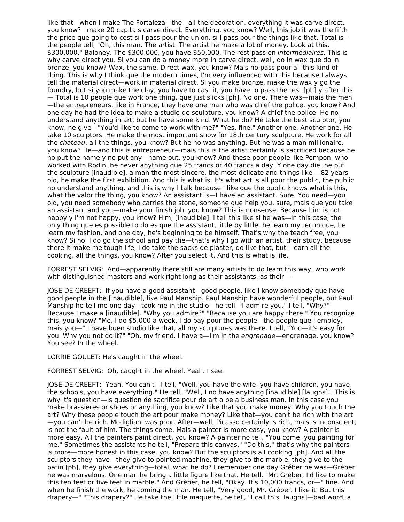like that—when I make The Fortaleza—the—all the decoration, everything it was carve direct, you know? I make 20 capitals carve direct. Everything, you know? Well, this job it was the fifth the price que going to cost si I pass pour the union, si I pass pour the things like that. Total is the people tell, "Oh, this man. The artist. The artist he make a lot of money. Look at this, \$300,000." Baloney. The \$300,000, you have \$50,000. The rest pass en intermédiaires. This is why carve direct you. Si you can do a money more in carve direct, well, do in wax que do in bronze, you know? Wax, the same. Direct wax, you know? Mais no pass pour all this kind of thing. This is why I think que the modern times, I'm very influenced with this because I always tell the material direct—work in material direct. Si you make bronze, make the wax y go the foundry, but si you make the clay, you have to cast it, you have to pass the test [ph] y after this — Total is 10 people que work one thing, que just slicks [ph]. No one. There was—mais the men —the entrepreneurs, like in France, they have one man who was chief the police, you know? And one day he had the idea to make a studio de sculpture, you know? A chief the police. He no understand anything in art, but he have some kind. What he do? He take the best sculptor, you know, he give—"You'd like to come to work with me?" "Yes, fine." Another one. Another one. He take 10 sculptors. He make the most important show for 18th century sculpture. He work for all the château, all the things, you know? But he no was anything. But he was a man millionaire, you know? He—and this is entrepreneur—mais this is the artist certainly is sacrificed because he no put the name y no put any—name out, you know? And these poor people like Pompon, who worked with Rodin, he never anything que 25 francs or 40 francs a day. Y one day die, he put the sculpture [inaudible], a man the most sincere, the most delicate and things like— 82 years old, he make the first exhibition. And this is what is. It's what art is all pour the public, the public no understand anything, and this is why I talk because I like que the public knows what is this, what the valor the thing, you know? An assistant is—I have an assistant. Sure. You need—you old, you need somebody who carries the stone, someone que help you, sure, mais que you take an assistant and you—make your finish job, you know? This is nonsense. Because him is not happy y I'm not happy, you know? Him, [inaudible]. I tell this like si he was—in this case, the only thing que es possible to do es que the assistant, little by little, he learn my technique, he learn my fashion, and one day, he's beginning to be himself. That's why the teach free, you know? Si no, I do go the school and pay the—that's why I go with an artist, their study, because there it make me tough life, I do take the sacks de plaster, do like that, but I learn all the cooking, all the things, you know? After you select it. And this is what is life.

FORREST SELVIG: And—apparently there still are many artists to do learn this way, who work with distinguished masters and work right long as their assistants, as their-

JOSÉ DE CREEFT: If you have a good assistant—good people, like I know somebody que have good people in the [inaudible], like Paul Manship. Paul Manship have wonderful people, but Paul Manship he tell me one day—took me in the studio—he tell, "I admire you." I tell, "Why?" Because I make a [inaudible]. "Why you admire?" "Because you are happy there." You recognize this, you know? "Me, I do \$5,000 a week, I do pay pour the people—the people que I employ, mais you—" I have buen studio like that, all my sculptures was there. I tell, "You—it's easy for you. Why you not do it?" "Oh, my friend. I have a—I'm in the engrenage—engrenage, you know? You see? In the wheel.

LORRIE GOULET: He's caught in the wheel.

FORREST SELVIG: Oh, caught in the wheel. Yeah. I see.

JOSÉ DE CREEFT: Yeah. You can't—I tell, "Well, you have the wife, you have children, you have the schools, you have everything." He tell, "Well, I no have anything [inaudible] [laughs]." This is why it's question—is question de sacrifice pour de art o be a business man. In this case you make brassieres or shoes or anything, you know? Like that you make money. Why you touch the art? Why these people touch the art pour make money? Like that—you can't be rich with the art —you can't be rich. Modigliani was poor. After—well, Picasso certainly is rich, mais is inconscient, is not the fault of him. The things come. Mais a painter is more easy, you know? A painter is more easy. All the painters paint direct, you know? A painter no tell, "You come, you painting for me." Sometimes the assistants he tell, "Prepare this canvas," "Do this," that's why the painters is more—more honest in this case, you know? But the sculptors is all cooking [ph]. And all the sculptors they have—they give to pointed machine, they give to the marble, they give to the patin [ph], they give everything—total, what he do? I remember one day Gréber he was—Gréber he was marvelous. One man he bring a little figure like that. He tell, "Mr. Gréber, I'd like to make this ten feet or five feet in marble." And Gréber, he tell, "Okay. It's 10,000 francs, or—" fine. And when he finish the work, he coming the man. He tell, "Very good, Mr. Gréber. I like it. But this drapery—" "This drapery?" He take the little maquette, he tell, "I call this [laughs]—bad word, a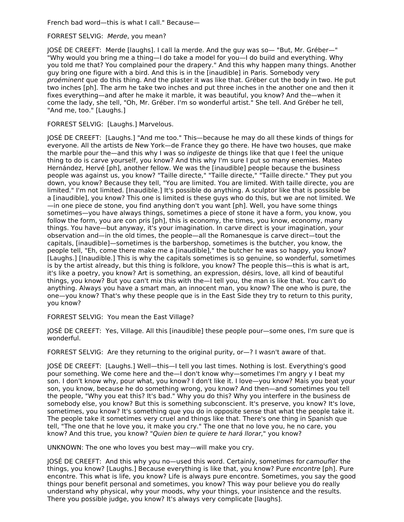French bad word—this is what I call." Because—

## FORREST SELVIG: Merde, you mean?

JOSÉ DE CREEFT: Merde [laughs]. I call la merde. And the guy was so— "But, Mr. Gréber—" "Why would you bring me a thing—I do take a model for you—I do build and everything. Why you told me that? You complained pour the drapery." And this why happen many things. Another guy bring one figure with a bird. And this is in the [inaudible] in Paris. Somebody very proéminent que do this thing. And the plaster it was like that. Gréber cut the body in two. He put two inches [ph]. The arm he take two inches and put three inches in the another one and then it fixes everything—and after he make it marble, it was beautiful, you know? And the—when it come the lady, she tell, "Oh, Mr. Gréber. I'm so wonderful artist." She tell. And Gréber he tell, "And me, too." [Laughs.]

FORREST SELVIG: [Laughs.] Marvelous.

JOSÉ DE CREEFT: [Laughs.] "And me too." This—because he may do all these kinds of things for everyone. All the artists de New York—de France they go there. He have two houses, que make the marble pour the—and this why I was so *indigeste* de things like that que I feel the unique thing to do is carve yourself, you know? And this why I'm sure I put so many enemies. Mateo Hernández, Hervé [ph], another fellow. We was the [inaudible] people because the business people was against us, you know? "Taille directe," "Taille directe," "Taille directe." They put you down, you know? Because they tell, "You are limited. You are limited. With taille directe, you are limited." I'm not limited. [Inaudible.] It's possible do anything. A sculptor like that is possible be a [inaudible], you know? This one is limited is these guys who do this, but we are not limited. We —in one piece de stone, you find anything don't you want [ph]. Well, you have some things sometimes—you have always things, sometimes a piece of stone it have a form, you know, you follow the form, you are con pris [ph], this is economy, the times, you know, economy, many things. You have—but anyway, it's your imagination. In carve direct is your imagination, your observation and—in the old times, the people—all the Romanesque is carve direct—tout the capitals, [inaudible]—sometimes is the barbershop, sometimes is the butcher, you know, the people tell, "Eh, come there make me a [inaudible]," the butcher he was so happy, you know? [Laughs.] [Inaudible.] This is why the capitals sometimes is so genuine, so wonderful, sometimes is by the artist already, but this thing is folklore, you know? The people this—this is what is art, it's like a poetry, you know? Art is something, an expression, désirs, love, all kind of beautiful things, you know? But you can't mix this with the—I tell you, the man is like that. You can't do anything. Always you have a smart man, an innocent man, you know? The one who is pure, the one—you know? That's why these people que is in the East Side they try to return to this purity, you know?

FORREST SELVIG: You mean the East Village?

JOSÉ DE CREEFT: Yes, Village. All this [inaudible] these people pour—some ones, I'm sure que is wonderful.

FORREST SELVIG: Are they returning to the original purity, or—? I wasn't aware of that.

JOSÉ DE CREEFT: [Laughs.] Well—this—I tell you last times. Nothing is lost. Everything's good pour something. We come here and the—I don't know why—sometimes I'm angry y I beat my son. I don't know why, pour what, you know? I don't like it. I love—you know? Mais you beat your son, you know, because he do something wrong, you know? And then—and sometimes you tell the people, "Why you eat this? It's bad." Why you do this? Why you interfere in the business de somebody else, you know? But this is something subconscient. It's preserve, you know? It's love, sometimes, you know? It's something que you do in opposite sense that what the people take it. The people take it sometimes very cruel and things like that. There's one thing in Spanish que tell, "The one that he love you, it make you cry." The one that no love you, he no care, you know? And this true, you know? "Quien bien te quiere te hará llorar," you know?

UNKNOWN: The one who loves you best may—will make you cry.

JOSÉ DE CREEFT: And this why you no—used this word. Certainly, sometimes for *camoufler* the things, you know? [Laughs.] Because everything is like that, you know? Pure encontre [ph]. Pure encontre. This what is life, you know? Life is always pure encontre. Sometimes, you say the good things pour benefit personal and sometimes, you know? This way pour believe you do really understand why physical, why your moods, why your things, your insistence and the results. There you possible judge, you know? It's always very complicate [laughs].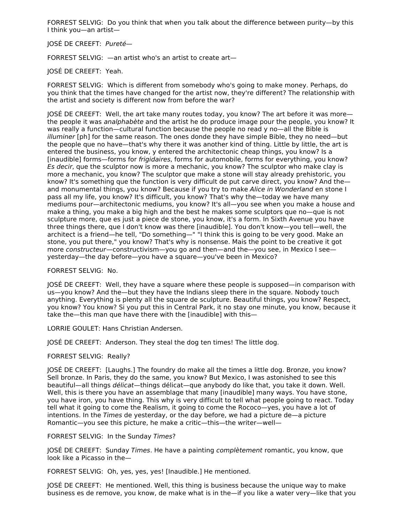FORREST SELVIG: Do you think that when you talk about the difference between purity—by this I think you—an artist—

#### JOSÉ DE CREEFT: Pureté—

FORREST SELVIG: —an artist who's an artist to create art—

JOSÉ DE CREEFT: Yeah.

FORREST SELVIG: Which is different from somebody who's going to make money. Perhaps, do you think that the times have changed for the artist now, they're different? The relationship with the artist and society is different now from before the war?

JOSÉ DE CREEFT: Well, the art take many routes today, you know? The art before it was more the people it was analphabète and the artist he do produce image pour the people, you know? It was really a function—cultural function because the people no read y no—all the Bible is illuminer [ph] for the same reason. The ones donde they have simple Bible, they no need—but the people que no have—that's why there it was another kind of thing. Little by little, the art is entered the business, you know, y entered the architectonic cheap things, you know? Is a [inaudible] forms—forms for frigidaires, forms for automobile, forms for everything, you know? Es decir, que the sculptor now is more a mechanic, you know? The sculptor who make clay is more a mechanic, you know? The sculptor que make a stone will stay already prehistoric, you know? It's something que the function is very difficult de put carve direct, you know? And the and monumental things, you know? Because if you try to make Alice in Wonderland en stone I pass all my life, you know? It's difficult, you know? That's why the—today we have many mediums pour—architectonic mediums, you know? It's all—you see when you make a house and make a thing, you make a big high and the best he makes some sculptors que no—que is not sculpture more, que es just a piece de stone, you know, it's a form. In Sixth Avenue you have three things there, que I don't know was there [inaudible]. You don't know—you tell—well, the architect is a friend—he tell, "Do something—" "I think this is going to be very good. Make an stone, you put there," you know? That's why is nonsense. Mais the point to be creative it got more constructeur—constructivism—you go and then—and the—you see, in Mexico I see yesterday—the day before—you have a square—you've been in Mexico?

FORREST SELVIG: No.

JOSÉ DE CREEFT: Well, they have a square where these people is supposed—in comparison with us—you know? And the—but they have the Indians sleep there in the square. Nobody touch anything. Everything is plenty all the square de sculpture. Beautiful things, you know? Respect, you know? You know? Si you put this in Central Park, it no stay one minute, you know, because it take the—this man que have there with the [inaudible] with this—

LORRIE GOULET: Hans Christian Andersen.

JOSÉ DE CREEFT: Anderson. They steal the dog ten times! The little dog.

#### FORREST SELVIG: Really?

JOSÉ DE CREEFT: [Laughs.] The foundry do make all the times a little dog. Bronze, you know? Sell bronze. In Paris, they do the same, you know? But Mexico, I was astonished to see this beautiful—all things délicat—things délicat—que anybody do like that, you take it down. Well. Well, this is there you have an assemblage that many [inaudible] many ways. You have stone, you have iron, you have thing. This why is very difficult to tell what people going to react. Today tell what it going to come the Realism, it going to come the Rococo—yes, you have a lot of intentions. In the Times de yesterday, or the day before, we had a picture de—a picture Romantic—you see this picture, he make a critic—this—the writer—well—

FORREST SELVIG: In the Sunday Times?

JOSÉ DE CREEFT: Sunday Times. He have a painting *complètement* romantic, you know, que look like a Picasso in the—

FORREST SELVIG: Oh, yes, yes, yes! [Inaudible.] He mentioned.

JOSÉ DE CREEFT: He mentioned. Well, this thing is business because the unique way to make business es de remove, you know, de make what is in the—if you like a water very—like that you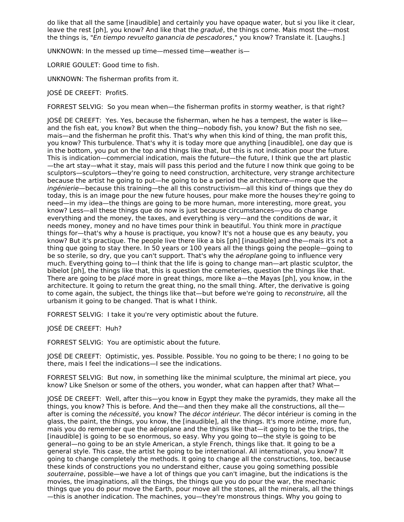do like that all the same [inaudible] and certainly you have opaque water, but si you like it clear, leave the rest [ph], you know? And like that the *gradué*, the things come. Mais most the—most the things is, "En tiempo revuelto ganancia de pescadores," you know? Translate it. [Laughs.]

UNKNOWN: In the messed up time—messed time—weather is—

LORRIE GOULET: Good time to fish.

UNKNOWN: The fisherman profits from it.

JOSÉ DE CREEFT: ProfitS.

FORREST SELVIG: So you mean when—the fisherman profits in stormy weather, is that right?

JOSÉ DE CREEFT: Yes. Yes, because the fisherman, when he has a tempest, the water is like and the fish eat, you know? But when the thing—nobody fish, you know? But the fish no see, mais—and the fisherman he profit this. That's why when this kind of thing, the man profit this, you know? This turbulence. That's why it is today more que anything [inaudible], one day que is in the bottom, you put on the top and things like that, but this is not indication pour the future. This is indication—commercial indication, mais the future—the future, I think que the art plastic —the art stay—what it stay, mais will pass this period and the future I now think que going to be sculptors—sculptors—they're going to need construction, architecture, very strange architecture because the artist he going to put—he going to be a period the architecture—more que the ingénierie—because this training—the all this constructivism—all this kind of things que they do today, this is an image pour the new future houses, pour make more the houses they're going to need—in my idea—the things are going to be more human, more interesting, more great, you know? Less—all these things que do now is just because circumstances—you do change everything and the money, the taxes, and everything is very—and the conditions de war, it needs money, money and no have times pour think in beautiful. You think more in *practique* things for—that's why a house is practique, you know? It's not a house que es any beauty, you know? But it's practique. The people live there like a bis [ph] [inaudible] and the—mais it's not a thing que going to stay there. In 50 years or 100 years all the things going the people—going to be so sterile, so dry, que you can't support. That's why the *aéroplane* going to influence very much. Everything going to—I think that the life is going to change man—art plastic sculptor, the bibelot [ph], the things like that, this is question the cemeteries, question the things like that. There are going to be *placé* more in great things, more like a—the Mayas [ph], you know, in the architecture. It going to return the great thing, no the small thing. After, the derivative is going to come again, the subject, the things like that—but before we're going to reconstruire, all the urbanism it going to be changed. That is what I think.

FORREST SELVIG: I take it you're very optimistic about the future.

JOSÉ DE CREEFT: Huh?

FORREST SELVIG: You are optimistic about the future.

JOSÉ DE CREEFT: Optimistic, yes. Possible. Possible. You no going to be there; I no going to be there, mais I feel the indications—I see the indications.

FORREST SELVIG: But now, in something like the minimal sculpture, the minimal art piece, you know? Like Snelson or some of the others, you wonder, what can happen after that? What—

JOSÉ DE CREEFT: Well, after this—you know in Egypt they make the pyramids, they make all the things, you know? This is before. And the—and then they make all the constructions, all the after is coming the *nécessité*, you know? The *décor intérieur*. The décor intérieur is coming in the glass, the paint, the things, you know, the [inaudible], all the things. It's more intime, more fun, mais you do remember que the aéroplane and the things like that—it going to be the trips, the [inaudible] is going to be so enormous, so easy. Why you going to—the style is going to be general—no going to be an style American, a style French, things like that. It going to be a general style. This case, the artist he going to be international. All international, you know? It going to change completely the methods. It going to change all the constructions, too, because these kinds of constructions you no understand either, cause you going something possible souterraine, possible—we have a lot of things que you can't imagine, but the indications is the movies, the imaginations, all the things, the things que you do pour the war, the mechanic things que you do pour move the Earth, pour move all the stones, all the minerals, all the things —this is another indication. The machines, you—they're monstrous things. Why you going to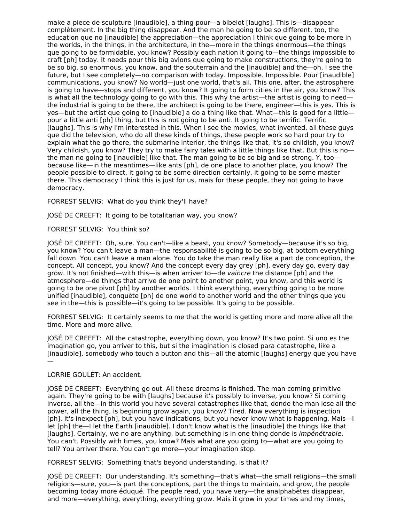make a piece de sculpture [inaudible], a thing pour—a bibelot [laughs]. This is—disappear complètement. In the big thing disappear. And the man he going to be so different, too, the education que no [inaudible] the appreciation—the appreciation I think que going to be more in the worlds, in the things, in the architecture, in the—more in the things enormous—the things que going to be formidable, you know? Possibly each nation it going to—the things impossible to craft [ph] today. It needs pour this big avions que going to make constructions, they're going to be so big, so enormous, you know, and the souterrain and the [inaudible] and the—oh, I see the future, but I see completely—no comparison with today. Impossible. Impossible. Pour [inaudible] communications, you know? No world—just one world, that's all. This one, after, the astrosphere is going to have—stops and different, you know? It going to form cities in the air, you know? This is what all the technology going to go with this. This why the artist—the artist is going to need the industrial is going to be there, the architect is going to be there, engineer—this is yes. This is yes—but the artist que going to [inaudible] a do a thing like that. What—this is good for a little pour a little anti [ph] thing, but this is not going to be anti. It going to be terrific. Terrific [laughs]. This is why I'm interested in this. When I see the movies, what invented, all these guys que did the television, who do all these kinds of things, these people work so hard pour try to explain what the go there, the submarine interior, the things like that, it's so childish, you know? Very childish, you know? They try to make fairy tales with a little things like that. But this is no the man no going to [inaudible] like that. The man going to be so big and so strong. Y, too because like—in the meantimes—like ants [ph], de one place to another place, you know? The people possible to direct, it going to be some direction certainly, it going to be some master there. This democracy I think this is just for us, mais for these people, they not going to have democracy.

FORREST SELVIG: What do you think they'll have?

JOSÉ DE CREEFT: It going to be totalitarian way, you know?

FORREST SELVIG: You think so?

JOSÉ DE CREEFT: Oh, sure. You can't—like a beast, you know? Somebody—because it's so big, you know? You can't leave a man—the responsabilité is going to be so big, at bottom everything fall down. You can't leave a man alone. You do take the man really like a part de conception, the concept. All concept, you know? And the concept every day grey [ph], every day go, every day grow. It's not finished—with this—is when arriver to—de vaincre the distance [ph] and the atmosphere—de things that arrive de one point to another point, you know, and this world is going to be one pivot [ph] by another worlds. I think everything, everything going to be more unified [inaudible], conquête [ph] de one world to another world and the other things que you see in the—this is possible—it's going to be possible. It's going to be possible.

FORREST SELVIG: It certainly seems to me that the world is getting more and more alive all the time. More and more alive.

JOSÉ DE CREEFT: All the catastrophe, everything down, you know? It's two point. Si uno es the imagination go, you arriver to this, but si the imagination is closed para catastrophe, like a [inaudible], somebody who touch a button and this—all the atomic [laughs] energy que you have —

# LORRIE GOULET: An accident.

JOSÉ DE CREEFT: Everything go out. All these dreams is finished. The man coming primitive again. They're going to be with [laughs] because it's possibly to inverse, you know? Si coming inverse, all the—in this world you have several catastrophes like that, donde the man lose all the power, all the thing, is beginning grow again, you know? Tired. Now everything is inspection [ph]. It's inexpect [ph], but you have indications, but you never know what is happening. Mais—I let [ph] the—I let the Earth [inaudible]. I don't know what is the [inaudible] the things like that [laughs]. Certainly, we no are anything, but something is in one thing donde is *impénétrable*. You can't. Possibly with times, you know? Mais what are you going to—what are you going to tell? You arriver there. You can't go more—your imagination stop.

FORREST SELVIG: Something that's beyond understanding, is that it?

JOSÉ DE CREEFT: Our understanding. It's something—that's what—the small religions—the small religions—sure, you—is part the conceptions, part the things to maintain, and grow, the people becoming today more éduqué. The people read, you have very—the analphabètes disappear, and more—everything, everything, everything grow. Mais it grow in your times and my times,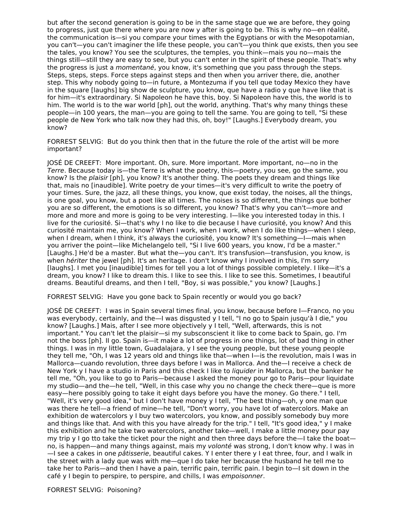but after the second generation is going to be in the same stage que we are before, they going to progress, just que there where you are now y after is going to be. This is why no—en réalité, the communication is—si you compare your times with the Egyptians or with the Mesopotamian, you can't—you can't imaginer the life these people, you can't—you think que exists, then you see the tales, you know? You see the sculptures, the temples, you think—mais you no—mais the things still—still they are easy to see, but you can't enter in the spirit of these people. That's why the progress is just a momentané, you know, it's something que you pass through the steps. Steps, steps, steps. Force steps against steps and then when you arriver there, die, another step. This why nobody going to—in future, a Montezuma if you tell que today Mexico they have in the square [laughs] big show de sculpture, you know, que have a radio y que have like that is for him—it's extraordinary. Si Napoleon he have this, boy. Si Napoleon have this, the world is to him. The world is to the war world [ph], out the world, anything. That's why many things these people—in 100 years, the man—you are going to tell the same. You are going to tell, "Si these people de New York who talk now they had this, oh, boy!" [Laughs.] Everybody dream, you know?

FORREST SELVIG: But do you think then that in the future the role of the artist will be more important?

JOSÉ DE CREEFT: More important. Oh, sure. More important. More important, no—no in the Terre. Because today is—the Terre is what the poetry, this—poetry, you see, go the same, you know? Is the plaisir [ph], you know? It's another thing. The poets they dream and things like that, mais no [inaudible]. Write poetry de your times—it's very difficult to write the poetry of your times. Sure, the jazz, all these things, you know, que exist today, the noises, all the things, is one goal, you know, but a poet like all times. The noises is so different, the things que bother you are so different, the emotions is so different, you know? That's why you can't—more and more and more and more is going to be very interesting. I—like you interested today in this. I live for the curiosité. Si—that's why I no like to die because I have curiosité, you know? And this curiosité maintain me, you know? When I work, when I work, when I do like things—when I sleep, when I dream, when I think, it's always the curiosité, you know? It's something—I—mais when you arriver the point—like Michelangelo tell, "Si I live 600 years, you know, I'd be a master." [Laughs.] He'd be a master. But what the—you can't. It's transfusion—transfusion, you know, is when *hériter* the jewel [ph]. It's an heritage. I don't know why I involved in this, I'm sorry [laughs]. I met you [inaudible] times for tell you a lot of things possible completely. I like—it's a dream, you know? I like to dream this. I like to see this. I like to see this. Sometimes, I beautiful dreams. Beautiful dreams, and then I tell, "Boy, si was possible," you know? [Laughs.]

FORREST SELVIG: Have you gone back to Spain recently or would you go back?

JOSÉ DE CREEFT: I was in Spain several times final, you know, because before I—Franco, no you was everybody, certainly, and the—I was disgusted y I tell, "I no go to Spain jusqu'à I die," you know? [Laughs.] Mais, after I see more objectively y I tell, "Well, afterwards, this is not important." You can't let the plaisir—si my subsconscient it like to come back to Spain, go. I'm not the boss [ph]. II go. Spain is—it make a lot of progress in one things, lot of bad thing in other things. I was in my little town, Guadalajara, y I see the young people, but these young people they tell me, "Oh, I was 12 years old and things like that—when I—is the revolution, mais I was in Mallorca—cuando revolution, three days before I was in Mallorca. And the—I receive a check de New York y I have a studio in Paris and this check I like to *liquider* in Mallorca, but the banker he tell me, "Oh, you like to go to Paris—because I asked the money pour go to Paris—pour liquidate my studio—and the—he tell, "Well, in this case why you no change the check there—que is more easy—here possibly going to take it eight days before you have the money. Go there." I tell, "Well, it's very good idea," but I don't have money y I tell, "The best thing—oh, y one man que was there he tell—a friend of mine—he tell, "Don't worry, you have lot of watercolors. Make an exhibition de watercolors y I buy two watercolors, you know, and possibly somebody buy more and things like that. And with this you have already for the trip." I tell, "It's good idea," y I make this exhibition and he take two watercolors, another take—well, I make a little money pour pay my trip y I go tto take the ticket pour the night and then three days before the—I take the boat no, is happen—and many things against, mais my volonté was strong, I don't know why. I was in —I see a cakes in one pâtisserie, beautiful cakes. Y I enter there y I eat three, four, and I walk in the street with a lady que was with me—que I do take her because the husband he tell me to take her to Paris—and then I have a pain, terrific pain, terrific pain. I begin to—I sit down in the café y I begin to perspire, to perspire, and chills, I was empoisonner.

FORREST SELVIG: Poisoning?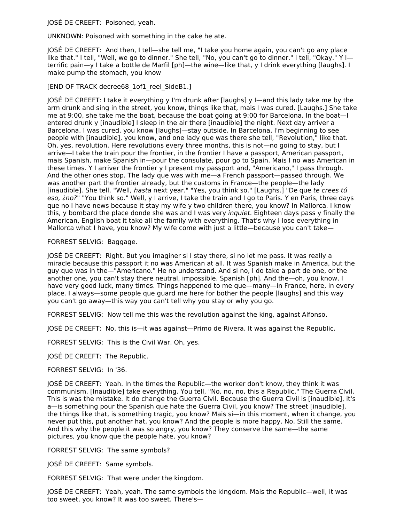JOSÉ DE CREEFT: Poisoned, yeah.

UNKNOWN: Poisoned with something in the cake he ate.

JOSÉ DE CREEFT: And then, I tell—she tell me, "I take you home again, you can't go any place like that." I tell, "Well, we go to dinner." She tell, "No, you can't go to dinner." I tell, "Okay." Y I terrific pain—y I take a bottle de Marfil [ph]—the wine—like that, y I drink everything [laughs]. I make pump the stomach, you know

# [END OF TRACK decree68\_1of1\_reel\_SideB1.]

JOSÉ DE CREEFT: I take it everything y I'm drunk after [laughs] y I—and this lady take me by the arm drunk and sing in the street, you know, things like that, mais I was cured. [Laughs.] She take me at 9:00, she take me the boat, because the boat going at 9:00 for Barcelona. In the boat—I entered drunk y [inaudible] I sleep in the air there [inaudible] the night. Next day arriver a Barcelona. I was cured, you know [laughs]—stay outside. In Barcelona, I'm beginning to see people with [inaudible], you know, and one lady que was there she tell, "Revolution," like that. Oh, yes, revolution. Here revolutions every three months, this is not—no going to stay, but I arrive—I take the train pour the frontier, in the frontier I have a passport, American passport, mais Spanish, make Spanish in—pour the consulate, pour go to Spain. Mais I no was American in these times. Y I arriver the frontier y I present my passport and, "Americano," I pass through. And the other ones stop. The lady que was with me—a French passport—passed through. We was another part the frontier already, but the customs in France—the people—the lady [inaudible]. She tell, "Well, hasta next year." "Yes, you think so." [Laughs.] "De que te crees tú eso, ino?" "You think so." Well, y I arrive, I take the train and I go to Paris. Y en Paris, three days que no I have news because it stay my wife y two children there, you know? In Mallorca. I know this, y bombard the place donde she was and I was very *inquiet*. Eighteen days pass y finally the American, English boat it take all the family with everything. That's why I lose everything in Mallorca what I have, you know? My wife come with just a little—because you can't take—

## FORREST SELVIG: Baggage.

JOSÉ DE CREEFT: Right. But you imaginer si I stay there, si no let me pass. It was really a miracle because this passport it no was American at all. It was Spanish make in America, but the guy que was in the—"Americano." He no understand. And si no, I do take a part de one, or the another one, you can't stay there neutral, impossible. Spanish [ph]. And the—oh, you know, I have very good luck, many times. Things happened to me que—many—in France, here, in every place. I always—some people que guard me here for bother the people [laughs] and this way you can't go away—this way you can't tell why you stay or why you go.

FORREST SELVIG: Now tell me this was the revolution against the king, against Alfonso.

JOSÉ DE CREEFT: No, this is—it was against—Primo de Rivera. It was against the Republic.

FORREST SELVIG: This is the Civil War. Oh, yes.

JOSÉ DE CREEFT: The Republic.

## FORREST SELVIG: In '36.

JOSÉ DE CREEFT: Yeah. In the times the Republic—the worker don't know, they think it was communism. [Inaudible] take everything. You tell, "No, no, no, this a Republic." The Guerra Civil. This is was the mistake. It do change the Guerra Civil. Because the Guerra Civil is [inaudible], it's a—is something pour the Spanish que hate the Guerra Civil, you know? The street [inaudible], the things like that, is something tragic, you know? Mais si—in this moment, when it change, you never put this, put another hat, you know? And the people is more happy. No. Still the same. And this why the people it was so angry, you know? They conserve the same—the same pictures, you know que the people hate, you know?

FORREST SELVIG: The same symbols?

JOSÉ DE CREEFT: Same symbols.

FORREST SELVIG: That were under the kingdom.

JOSÉ DE CREEFT: Yeah, yeah. The same symbols the kingdom. Mais the Republic—well, it was too sweet, you know? It was too sweet. There's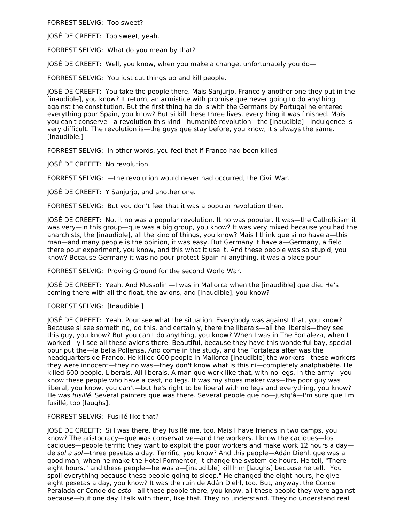FORREST SELVIG: Too sweet?

JOSÉ DE CREEFT: Too sweet, yeah.

FORREST SELVIG: What do you mean by that?

JOSÉ DE CREEFT: Well, you know, when you make a change, unfortunately you do—

FORREST SELVIG: You just cut things up and kill people.

JOSÉ DE CREEFT: You take the people there. Mais Sanjurjo, Franco y another one they put in the [inaudible], you know? It return, an armistice with promise que never going to do anything against the constitution. But the first thing he do is with the Germans by Portugal he entered everything pour Spain, you know? But si kill these three lives, everything it was finished. Mais you can't conserve—a revolution this kind—humanité revolution—the [inaudible]—indulgence is very difficult. The revolution is—the guys que stay before, you know, it's always the same. [Inaudible.]

FORREST SELVIG: In other words, you feel that if Franco had been killed—

JOSÉ DE CREEFT: No revolution.

FORREST SELVIG: —the revolution would never had occurred, the Civil War.

JOSÉ DE CREEFT: Y Sanjurjo, and another one.

FORREST SELVIG: But you don't feel that it was a popular revolution then.

JOSÉ DE CREEFT: No, it no was a popular revolution. It no was popular. It was—the Catholicism it was very—in this group—que was a big group, you know? It was very mixed because you had the anarchists, the [inaudible], all the kind of things, you know? Mais I think que si no have a—this man—and many people is the opinion, it was easy. But Germany it have a—Germany, a field there pour experiment, you know, and this what it use it. And these people was so stupid, you know? Because Germany it was no pour protect Spain ni anything, it was a place pour—

FORREST SELVIG: Proving Ground for the second World War.

JOSÉ DE CREEFT: Yeah. And Mussolini—I was in Mallorca when the [inaudible] que die. He's coming there with all the float, the avions, and [inaudible], you know?

#### FORREST SELVIG: [Inaudible.]

JOSÉ DE CREEFT: Yeah. Pour see what the situation. Everybody was against that, you know? Because si see something, do this, and certainly, there the liberals—all the liberals—they see this guy, you know? But you can't do anything, you know? When I was in The Fortaleza, when I worked—y I see all these avions there. Beautiful, because they have this wonderful bay, special pour put the—la bella Pollensa. And come in the study, and the Fortaleza after was the headquarters de Franco. He killed 600 people in Mallorca [inaudible] the workers—these workers they were innocent—they no was—they don't know what is this ni—completely analphabète. He killed 600 people. Liberals. All liberals. A man que work like that, with no legs, in the army—you know these people who have a cast, no legs. It was my shoes maker was—the poor guy was liberal, you know, you can't—but he's right to be liberal with no legs and everything, you know? He was fusillé. Several painters que was there. Several people que no-justq'à-l'm sure que l'm fusillé, too [laughs].

# FORREST SELVIG: Fusillé like that?

JOSÉ DE CREEFT: Si I was there, they fusillé me, too. Mais I have friends in two camps, you know? The aristocracy—que was conservative—and the workers. I know the caciques—los caciques—people terrific they want to exploit the poor workers and make work 12 hours a day de sol a sol—three pesetas a day. Terrific, you know? And this people—Adán Diehl, que was a good man, when he make the Hotel Formentor, it change the system de hours. He tell, "There eight hours," and these people—he was a—[inaudible] kill him [laughs] because he tell, "You spoil everything because these people going to sleep." He changed the eight hours, he give eight pesetas a day, you know? It was the ruin de Adán Diehl, too. But, anyway, the Conde Peralada or Conde de esto—all these people there, you know, all these people they were against because—but one day I talk with them, like that. They no understand. They no understand real